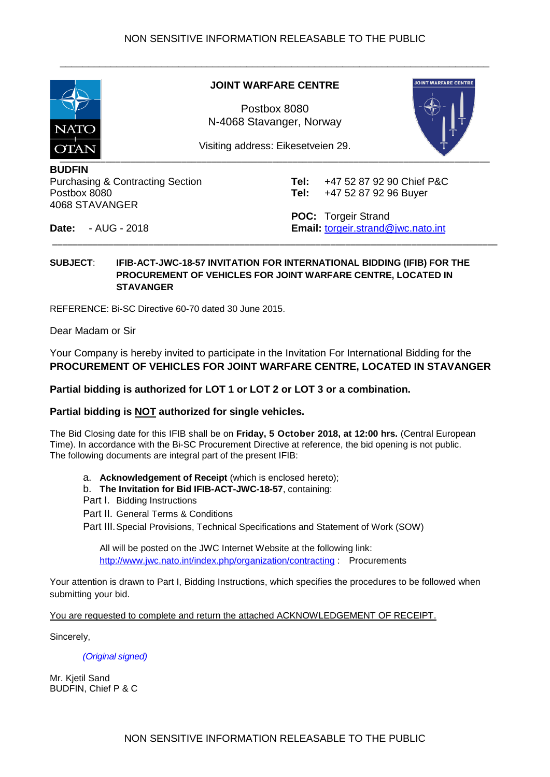<span id="page-0-0"></span>

#### **JOINT WARFARE CENTRE**

\_\_\_\_\_\_\_\_\_\_\_\_\_\_\_\_\_\_\_\_\_\_\_\_\_\_\_\_\_\_\_\_\_\_\_\_\_\_\_\_\_\_\_\_\_\_\_\_\_\_\_\_\_\_\_\_\_\_\_\_\_\_\_\_\_\_\_\_\_\_\_\_\_\_\_\_

Postbox 8080 N-4068 Stavanger, Norway



Visiting address: Eikesetveien 29.

\_\_\_\_\_\_\_\_\_\_\_\_\_\_\_\_\_\_\_\_\_\_\_\_\_\_\_\_\_\_\_\_\_\_\_\_\_\_\_\_\_\_\_\_\_\_\_\_\_\_\_\_\_\_\_\_\_\_\_\_\_\_\_\_\_\_\_\_\_\_\_\_\_\_\_\_\_\_\_\_\_\_\_\_\_\_\_\_

**BUDFIN**  Purchasing & Contracting Section Postbox 8080 4068 STAVANGER

**Tel:** +47 52 87 92 90 Chief P&C **Tel:** +47 52 87 92 96 Buyer

**Date:** - AUG - 2018

**POC:** Torgeir Strand **Email:** [torgeir.strand@jwc.nato.int](mailto:torgeir.strand@jwc.nato.int)

#### **SUBJECT**: **IFIB-ACT-JWC-18-57 INVITATION FOR INTERNATIONAL BIDDING (IFIB) FOR THE PROCUREMENT OF VEHICLES FOR JOINT WARFARE CENTRE, LOCATED IN STAVANGER**

REFERENCE: Bi-SC Directive 60-70 dated 30 June 2015.

Dear Madam or Sir

Your Company is hereby invited to participate in the Invitation For International Bidding for the **PROCUREMENT OF VEHICLES FOR JOINT WARFARE CENTRE, LOCATED IN STAVANGER**

**Partial bidding is authorized for LOT 1 or LOT 2 or LOT 3 or a combination.**

#### **Partial bidding is NOT authorized for single vehicles.**

The Bid Closing date for this IFIB shall be on **Friday, 5 October 2018, at 12:00 hrs.** (Central European Time). In accordance with the Bi-SC Procurement Directive at reference, the bid opening is not public. The following documents are integral part of the present IFIB:

a. **Acknowledgement of Receipt** (which is enclosed hereto);

b. **The Invitation for Bid IFIB-ACT-JWC-18-57**, containing:

Part I. Bidding Instructions

Part II. General Terms & Conditions

Part III.Special Provisions, Technical Specifications and Statement of Work (SOW)

All will be posted on the JWC Internet Website at the following link: <http://www.jwc.nato.int/index.php/organization/contracting> : Procurements

Your attention is drawn to Part I, Bidding Instructions, which specifies the procedures to be followed when submitting your bid.

You are requested to complete and return the attached ACKNOWLEDGEMENT OF RECEIPT.

Sincerely,

*(Original signed)*

Mr. Kjetil Sand BUDFIN, Chief P & C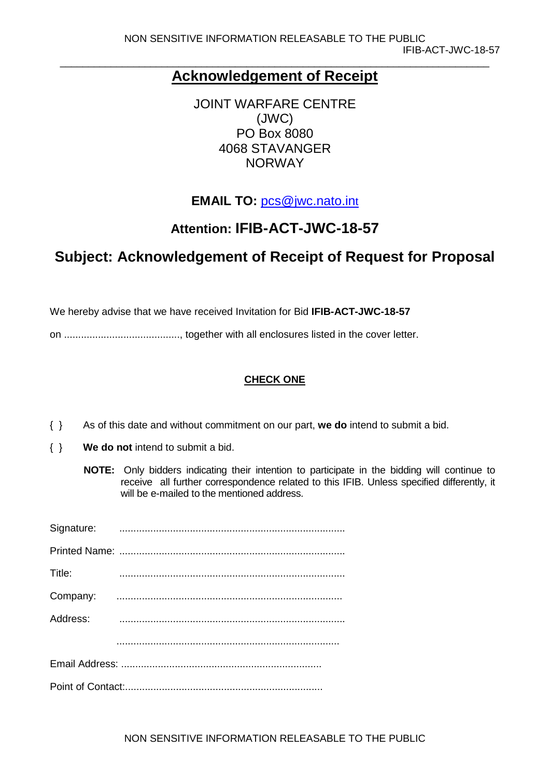#### **Acknowledgement of Receipt**

JOINT WARFARE CENTRE (JWC) PO Box 8080 4068 STAVANGER NORWAY

**EMAIL TO:** [pcs@jwc.nato.int](mailto:pcs@jwc.nato.int)

### **Attention: IFIB-ACT-JWC-18-57**

## **Subject: Acknowledgement of Receipt of Request for Proposal**

We hereby advise that we have received Invitation for Bid **IFIB-ACT-JWC-18-57**

on ........................................., together with all enclosures listed in the cover letter.

#### **CHECK ONE**

- { } As of this date and without commitment on our part, **we do** intend to submit a bid.
- { } **We do not** intend to submit a bid.
	- **NOTE:** Only bidders indicating their intention to participate in the bidding will continue to receive all further correspondence related to this IFIB. Unless specified differently, it will be e-mailed to the mentioned address.

| Title:   |  |
|----------|--|
|          |  |
| Address: |  |
|          |  |
|          |  |
|          |  |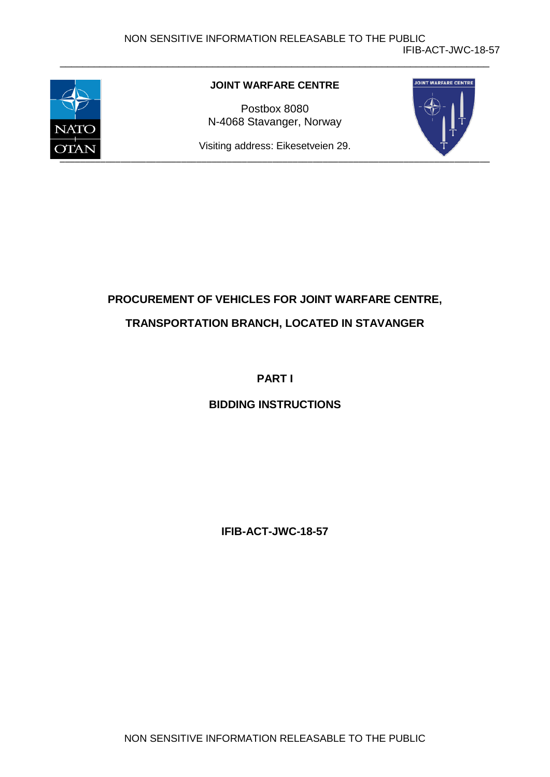<span id="page-2-0"></span>

#### **JOINT WARFARE CENTRE**

\_\_\_\_\_\_\_\_\_\_\_\_\_\_\_\_\_\_\_\_\_\_\_\_\_\_\_\_\_\_\_\_\_\_\_\_\_\_\_\_\_\_\_\_\_\_\_\_\_\_\_\_\_\_\_\_\_\_\_\_\_\_\_\_\_\_\_\_\_\_\_\_\_\_\_\_

Postbox 8080 N-4068 Stavanger, Norway



Visiting address: Eikesetveien 29.

# **PROCUREMENT OF VEHICLES FOR JOINT WARFARE CENTRE, TRANSPORTATION BRANCH, LOCATED IN STAVANGER**

#### **PART I**

#### **BIDDING INSTRUCTIONS**

**IFIB-ACT-JWC-18-57**

NON SENSITIVE INFORMATION RELEASABLE TO THE PUBLIC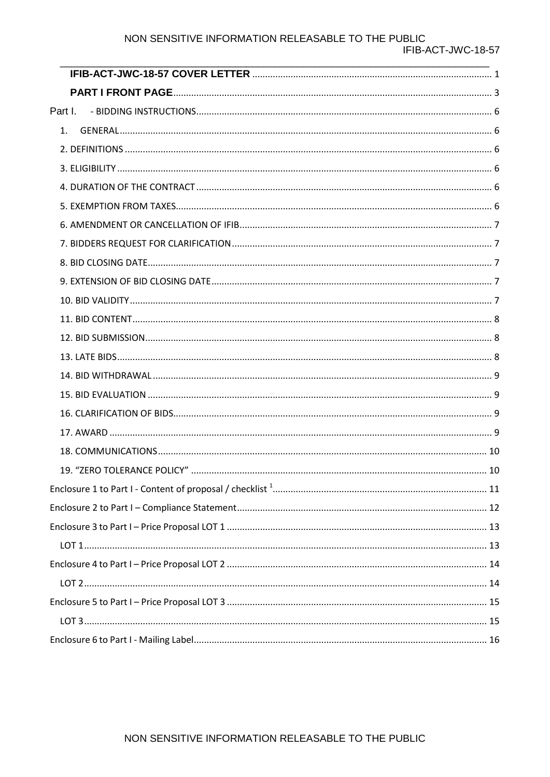#### NON SENSITIVE INFORMATION RELEASABLE TO THE PUBLIC

| Part I. |  |
|---------|--|
| 1.      |  |
|         |  |
|         |  |
|         |  |
|         |  |
|         |  |
|         |  |
|         |  |
|         |  |
|         |  |
|         |  |
|         |  |
|         |  |
|         |  |
|         |  |
|         |  |
|         |  |
|         |  |
|         |  |
|         |  |
|         |  |
|         |  |
|         |  |
|         |  |
|         |  |
|         |  |
|         |  |
|         |  |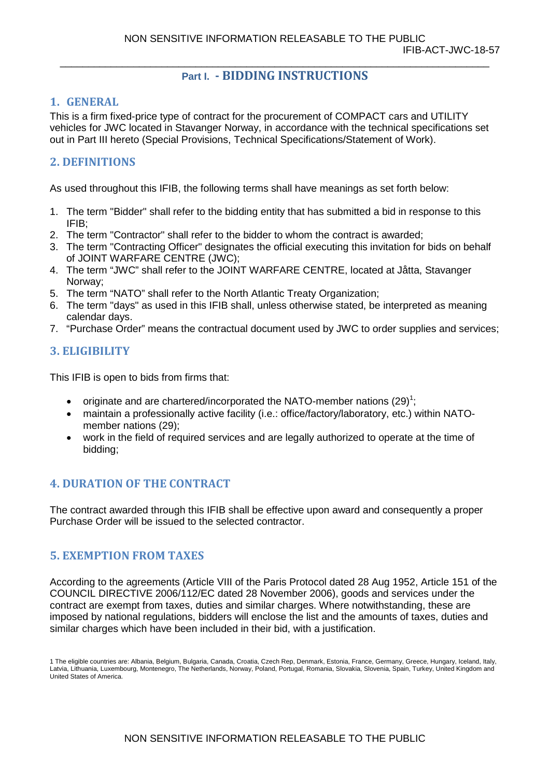#### **Part I. - BIDDING INSTRUCTIONS**

#### <span id="page-4-1"></span><span id="page-4-0"></span>**1. GENERAL**

This is a firm fixed-price type of contract for the procurement of COMPACT cars and UTILITY vehicles for JWC located in Stavanger Norway, in accordance with the technical specifications set out in Part III hereto (Special Provisions, Technical Specifications/Statement of Work).

#### <span id="page-4-2"></span>**2. DEFINITIONS**

As used throughout this IFIB, the following terms shall have meanings as set forth below:

- 1. The term "Bidder" shall refer to the bidding entity that has submitted a bid in response to this IFIB;
- 2. The term "Contractor" shall refer to the bidder to whom the contract is awarded;
- 3. The term "Contracting Officer" designates the official executing this invitation for bids on behalf of JOINT WARFARE CENTRE (JWC);
- 4. The term "JWC" shall refer to the JOINT WARFARE CENTRE, located at Jåtta, Stavanger Norway;
- 5. The term "NATO" shall refer to the North Atlantic Treaty Organization;
- 6. The term "days" as used in this IFIB shall, unless otherwise stated, be interpreted as meaning calendar days.
- 7. "Purchase Order" means the contractual document used by JWC to order supplies and services;

#### <span id="page-4-3"></span>**3. ELIGIBILITY**

This IFIB is open to bids from firms that:

- originate and are chartered/incorporated the NATO-member nations  $(29)^1$ ;
- maintain a professionally active facility (i.e.: office/factory/laboratory, etc.) within NATOmember nations (29);
- work in the field of required services and are legally authorized to operate at the time of bidding;

#### <span id="page-4-4"></span>**4. DURATION OF THE CONTRACT**

The contract awarded through this IFIB shall be effective upon award and consequently a proper Purchase Order will be issued to the selected contractor.

#### <span id="page-4-5"></span>**5. EXEMPTION FROM TAXES**

According to the agreements (Article VIII of the Paris Protocol dated 28 Aug 1952, Article 151 of the COUNCIL DIRECTIVE 2006/112/EC dated 28 November 2006), goods and services under the contract are exempt from taxes, duties and similar charges. Where notwithstanding, these are imposed by national regulations, bidders will enclose the list and the amounts of taxes, duties and similar charges which have been included in their bid, with a justification.

<sup>1</sup> The eligible countries are: Albania, Belgium, Bulgaria, Canada, Croatia, Czech Rep, Denmark, Estonia, France, Germany, Greece, Hungary, Iceland, Italy, Latvia, Lithuania, Luxembourg, Montenegro, The Netherlands, Norway, Poland, Portugal, Romania, Slovakia, Slovenia, Spain, Turkey, United Kingdom and United States of America.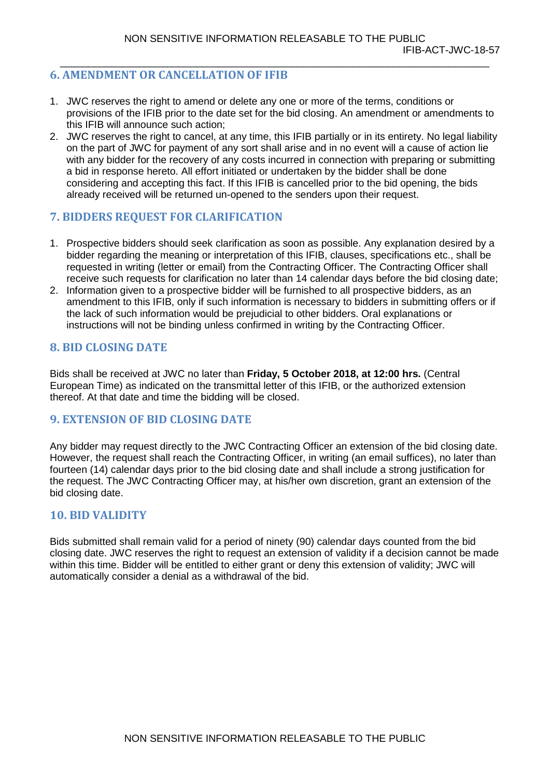#### <span id="page-5-0"></span>**6. AMENDMENT OR CANCELLATION OF IFIB**

- 1. JWC reserves the right to amend or delete any one or more of the terms, conditions or provisions of the IFIB prior to the date set for the bid closing. An amendment or amendments to this IFIB will announce such action;
- 2. JWC reserves the right to cancel, at any time, this IFIB partially or in its entirety. No legal liability on the part of JWC for payment of any sort shall arise and in no event will a cause of action lie with any bidder for the recovery of any costs incurred in connection with preparing or submitting a bid in response hereto. All effort initiated or undertaken by the bidder shall be done considering and accepting this fact. If this IFIB is cancelled prior to the bid opening, the bids already received will be returned un-opened to the senders upon their request.

#### <span id="page-5-1"></span>**7. BIDDERS REQUEST FOR CLARIFICATION**

- 1. Prospective bidders should seek clarification as soon as possible. Any explanation desired by a bidder regarding the meaning or interpretation of this IFIB, clauses, specifications etc., shall be requested in writing (letter or email) from the Contracting Officer. The Contracting Officer shall receive such requests for clarification no later than 14 calendar days before the bid closing date;
- 2. Information given to a prospective bidder will be furnished to all prospective bidders, as an amendment to this IFIB, only if such information is necessary to bidders in submitting offers or if the lack of such information would be prejudicial to other bidders. Oral explanations or instructions will not be binding unless confirmed in writing by the Contracting Officer.

#### <span id="page-5-2"></span>**8. BID CLOSING DATE**

Bids shall be received at JWC no later than **Friday, 5 October 2018, at 12:00 hrs.** (Central European Time) as indicated on the transmittal letter of this IFIB, or the authorized extension thereof. At that date and time the bidding will be closed.

#### <span id="page-5-3"></span>**9. EXTENSION OF BID CLOSING DATE**

Any bidder may request directly to the JWC Contracting Officer an extension of the bid closing date. However, the request shall reach the Contracting Officer, in writing (an email suffices), no later than fourteen (14) calendar days prior to the bid closing date and shall include a strong justification for the request. The JWC Contracting Officer may, at his/her own discretion, grant an extension of the bid closing date.

#### <span id="page-5-4"></span>**10. BID VALIDITY**

Bids submitted shall remain valid for a period of ninety (90) calendar days counted from the bid closing date. JWC reserves the right to request an extension of validity if a decision cannot be made within this time. Bidder will be entitled to either grant or deny this extension of validity; JWC will automatically consider a denial as a withdrawal of the bid.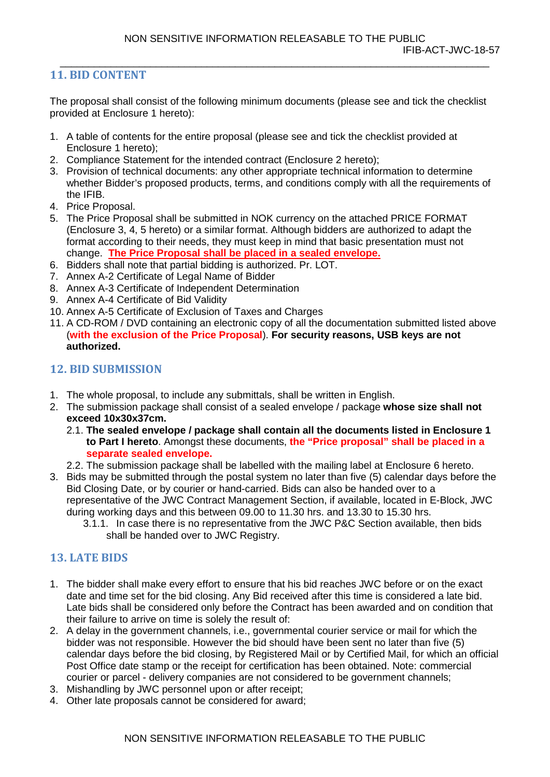#### <span id="page-6-0"></span>**11. BID CONTENT**

The proposal shall consist of the following minimum documents (please see and tick the checklist provided at Enclosure 1 hereto):

\_\_\_\_\_\_\_\_\_\_\_\_\_\_\_\_\_\_\_\_\_\_\_\_\_\_\_\_\_\_\_\_\_\_\_\_\_\_\_\_\_\_\_\_\_\_\_\_\_\_\_\_\_\_\_\_\_\_\_\_\_\_\_\_\_\_\_\_\_\_\_\_\_\_\_\_

- 1. A table of contents for the entire proposal (please see and tick the checklist provided at Enclosure 1 hereto);
- 2. Compliance Statement for the intended contract (Enclosure 2 hereto);
- 3. Provision of technical documents: any other appropriate technical information to determine whether Bidder's proposed products, terms, and conditions comply with all the requirements of the IFIB.
- 4. Price Proposal.
- 5. The Price Proposal shall be submitted in NOK currency on the attached PRICE FORMAT (Enclosure 3, 4, 5 hereto) or a similar format. Although bidders are authorized to adapt the format according to their needs, they must keep in mind that basic presentation must not change. **The Price Proposal shall be placed in a sealed envelope.**
- 6. Bidders shall note that partial bidding is authorized. Pr. LOT.
- 7. Annex A-2 Certificate of Legal Name of Bidder
- 8. Annex A-3 Certificate of Independent Determination
- 9. Annex A-4 Certificate of Bid Validity
- 10. Annex A-5 Certificate of Exclusion of Taxes and Charges
- 11. A CD-ROM / DVD containing an electronic copy of all the documentation submitted listed above (**with the exclusion of the Price Proposal**). **For security reasons, USB keys are not authorized.**

#### <span id="page-6-1"></span>**12. BID SUBMISSION**

- 1. The whole proposal, to include any submittals, shall be written in English.
- 2. The submission package shall consist of a sealed envelope / package **whose size shall not exceed 10x30x37cm.**
	- 2.1. **The sealed envelope / package shall contain all the documents listed in Enclosure 1 to Part I hereto**. Amongst these documents, **the "Price proposal" shall be placed in a separate sealed envelope.**
	- 2.2. The submission package shall be labelled with the mailing label at Enclosure 6 hereto.
- 3. Bids may be submitted through the postal system no later than five (5) calendar days before the Bid Closing Date, or by courier or hand-carried. Bids can also be handed over to a representative of the JWC Contract Management Section, if available, located in E-Block, JWC during working days and this between 09.00 to 11.30 hrs. and 13.30 to 15.30 hrs.
	- 3.1.1. In case there is no representative from the JWC P&C Section available, then bids shall be handed over to JWC Registry.

#### <span id="page-6-2"></span>**13. LATE BIDS**

- 1. The bidder shall make every effort to ensure that his bid reaches JWC before or on the exact date and time set for the bid closing. Any Bid received after this time is considered a late bid. Late bids shall be considered only before the Contract has been awarded and on condition that their failure to arrive on time is solely the result of:
- 2. A delay in the government channels, i.e., governmental courier service or mail for which the bidder was not responsible. However the bid should have been sent no later than five (5) calendar days before the bid closing, by Registered Mail or by Certified Mail, for which an official Post Office date stamp or the receipt for certification has been obtained. Note: commercial courier or parcel - delivery companies are not considered to be government channels;
- 3. Mishandling by JWC personnel upon or after receipt;
- 4. Other late proposals cannot be considered for award;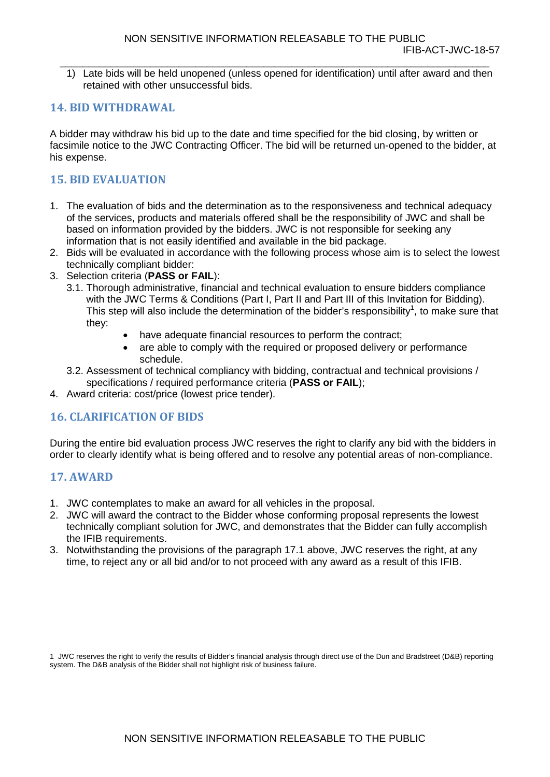\_\_\_\_\_\_\_\_\_\_\_\_\_\_\_\_\_\_\_\_\_\_\_\_\_\_\_\_\_\_\_\_\_\_\_\_\_\_\_\_\_\_\_\_\_\_\_\_\_\_\_\_\_\_\_\_\_\_\_\_\_\_\_\_\_\_\_\_\_\_\_\_\_\_\_\_ 1) Late bids will be held unopened (unless opened for identification) until after award and then retained with other unsuccessful bids.

#### <span id="page-7-0"></span>**14. BID WITHDRAWAL**

A bidder may withdraw his bid up to the date and time specified for the bid closing, by written or facsimile notice to the JWC Contracting Officer. The bid will be returned un-opened to the bidder, at his expense.

#### <span id="page-7-1"></span>**15. BID EVALUATION**

- 1. The evaluation of bids and the determination as to the responsiveness and technical adequacy of the services, products and materials offered shall be the responsibility of JWC and shall be based on information provided by the bidders. JWC is not responsible for seeking any information that is not easily identified and available in the bid package.
- 2. Bids will be evaluated in accordance with the following process whose aim is to select the lowest technically compliant bidder:
- 3. Selection criteria (**PASS or FAIL**):
	- 3.1. Thorough administrative, financial and technical evaluation to ensure bidders compliance with the JWC Terms & Conditions (Part I, Part II and Part III of this Invitation for Bidding). This step will also include the determination of the bidder's responsibility<sup>1</sup>, to make sure that they:
		- have adequate financial resources to perform the contract;
		- are able to comply with the required or proposed delivery or performance schedule.
	- 3.2. Assessment of technical compliancy with bidding, contractual and technical provisions / specifications / required performance criteria (**PASS or FAIL**);
- 4. Award criteria: cost/price (lowest price tender).

#### <span id="page-7-2"></span>**16. CLARIFICATION OF BIDS**

During the entire bid evaluation process JWC reserves the right to clarify any bid with the bidders in order to clearly identify what is being offered and to resolve any potential areas of non-compliance.

#### <span id="page-7-3"></span>**17. AWARD**

- 1. JWC contemplates to make an award for all vehicles in the proposal.
- 2. JWC will award the contract to the Bidder whose conforming proposal represents the lowest technically compliant solution for JWC, and demonstrates that the Bidder can fully accomplish the IFIB requirements.
- 3. Notwithstanding the provisions of the paragraph 17.1 above, JWC reserves the right, at any time, to reject any or all bid and/or to not proceed with any award as a result of this IFIB.

1 JWC reserves the right to verify the results of Bidder's financial analysis through direct use of the Dun and Bradstreet (D&B) reporting system. The D&B analysis of the Bidder shall not highlight risk of business failure.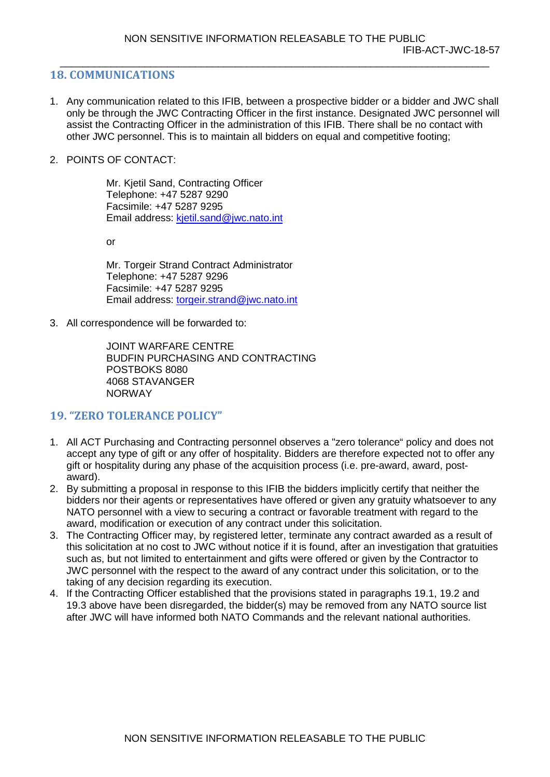#### <span id="page-8-0"></span>**18. COMMUNICATIONS**

- 1. Any communication related to this IFIB, between a prospective bidder or a bidder and JWC shall only be through the JWC Contracting Officer in the first instance. Designated JWC personnel will assist the Contracting Officer in the administration of this IFIB. There shall be no contact with other JWC personnel. This is to maintain all bidders on equal and competitive footing;
- 2. POINTS OF CONTACT:

Mr. Kjetil Sand, Contracting Officer Telephone: +47 5287 9290 Facsimile: +47 5287 9295 Email address: [kjetil.sand@jwc.nato.int](mailto:kjetil.sand@jwc.nato.int)

or

Mr. Torgeir Strand Contract Administrator Telephone: +47 5287 9296 Facsimile: +47 5287 9295 Email address: [torgeir.strand@jwc.nato.int](mailto:torgeir.strand@jwc.nato.int)

3. All correspondence will be forwarded to:

JOINT WARFARE CENTRE BUDFIN PURCHASING AND CONTRACTING POSTBOKS 8080 4068 STAVANGER NORWAY

#### <span id="page-8-1"></span>**19. "ZERO TOLERANCE POLICY"**

- 1. All ACT Purchasing and Contracting personnel observes a "zero tolerance" policy and does not accept any type of gift or any offer of hospitality. Bidders are therefore expected not to offer any gift or hospitality during any phase of the acquisition process (i.e. pre-award, award, postaward).
- 2. By submitting a proposal in response to this IFIB the bidders implicitly certify that neither the bidders nor their agents or representatives have offered or given any gratuity whatsoever to any NATO personnel with a view to securing a contract or favorable treatment with regard to the award, modification or execution of any contract under this solicitation.
- 3. The Contracting Officer may, by registered letter, terminate any contract awarded as a result of this solicitation at no cost to JWC without notice if it is found, after an investigation that gratuities such as, but not limited to entertainment and gifts were offered or given by the Contractor to JWC personnel with the respect to the award of any contract under this solicitation, or to the taking of any decision regarding its execution.
- 4. If the Contracting Officer established that the provisions stated in paragraphs 19.1, 19.2 and 19.3 above have been disregarded, the bidder(s) may be removed from any NATO source list after JWC will have informed both NATO Commands and the relevant national authorities.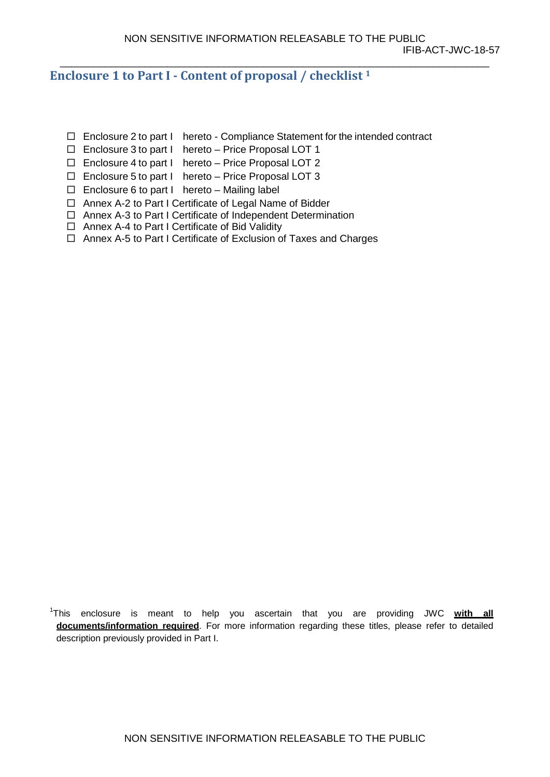<span id="page-9-0"></span>**Enclosure 1 to Part I - Content of proposal / checklist 1**

- $\Box$  Enclosure 2 to part I hereto Compliance Statement for the intended contract
- Enclosure 3 to part I hereto Price Proposal LOT 1
- $\Box$  Enclosure 4 to part I hereto Price Proposal LOT 2
- Enclosure 5 to part I hereto Price Proposal LOT 3
- $\Box$  Enclosure 6 to part I hereto Mailing label
- □ Annex A-2 to Part I Certificate of Legal Name of Bidder
- □ Annex A-3 to Part I Certificate of Independent Determination
- □ Annex A-4 to Part I Certificate of Bid Validity
- □ Annex A-5 to Part I Certificate of Exclusion of Taxes and Charges

<sup>1</sup> This enclosure is meant to help you ascertain that you are providing JWC **with all documents/information required**. For more information regarding these titles, please refer to detailed description previously provided in Part I.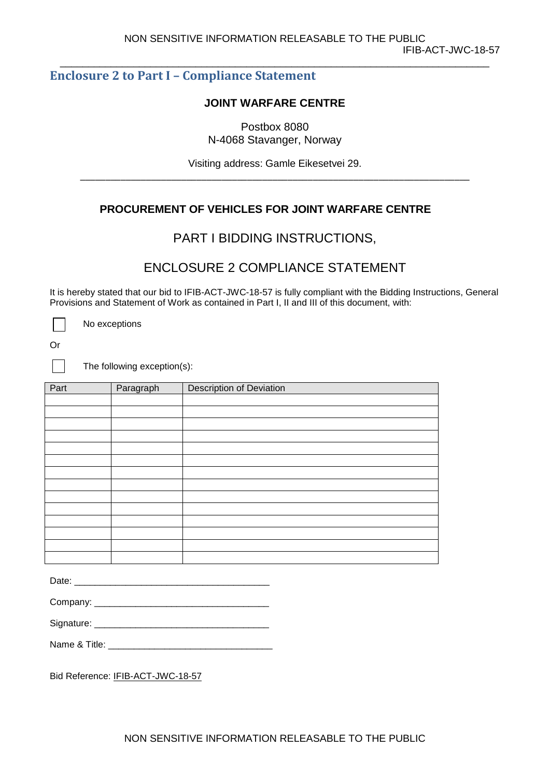#### <span id="page-10-0"></span>**Enclosure 2 to Part I – Compliance Statement**

#### **JOINT WARFARE CENTRE**

Postbox 8080 N-4068 Stavanger, Norway

Visiting address: Gamle Eikesetvei 29. \_\_\_\_\_\_\_\_\_\_\_\_\_\_\_\_\_\_\_\_\_\_\_\_\_\_\_\_\_\_\_\_\_\_\_\_\_\_\_\_\_\_\_\_\_\_\_\_\_\_\_\_\_\_\_\_\_\_\_\_\_\_\_\_\_\_\_\_\_\_\_\_\_\_\_\_\_

#### **PROCUREMENT OF VEHICLES FOR JOINT WARFARE CENTRE**

#### PART I BIDDING INSTRUCTIONS,

#### ENCLOSURE 2 COMPLIANCE STATEMENT

It is hereby stated that our bid to IFIB-ACT-JWC-18-57 is fully compliant with the Bidding Instructions, General Provisions and Statement of Work as contained in Part I, II and III of this document, with:

No exceptions

Or

 $\mathbf{I}$ 

The following exception(s):

| Part | Paragraph | <b>Description of Deviation</b> |
|------|-----------|---------------------------------|
|      |           |                                 |
|      |           |                                 |
|      |           |                                 |
|      |           |                                 |
|      |           |                                 |
|      |           |                                 |
|      |           |                                 |
|      |           |                                 |
|      |           |                                 |
|      |           |                                 |
|      |           |                                 |
|      |           |                                 |
|      |           |                                 |
|      |           |                                 |

| ∩ate∙ |  |  |  |  |
|-------|--|--|--|--|
|       |  |  |  |  |

| Company: |  |  |  |
|----------|--|--|--|
|          |  |  |  |

Signature:

Name & Title:

Bid Reference: IFIB-ACT-JWC-18-57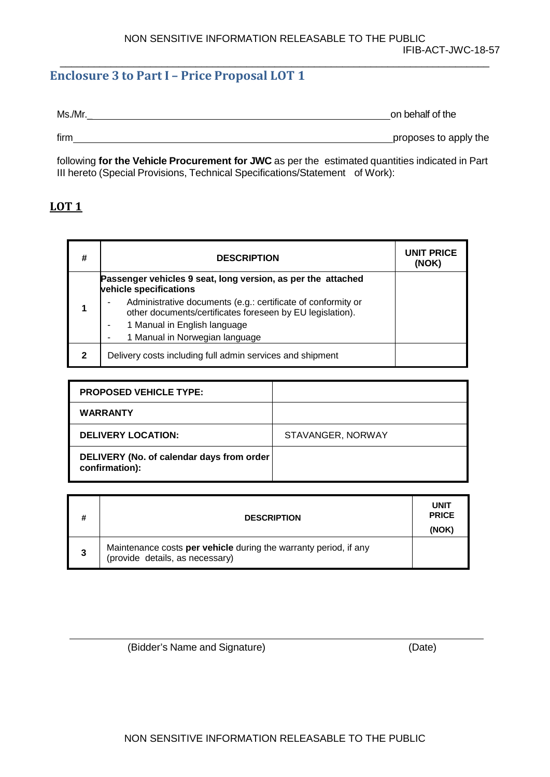#### <span id="page-11-0"></span>**Enclosure 3 to Part I – Price Proposal LOT 1**

Ms./Mr.

firm **proposes to apply the proposes** to apply the

following **for the Vehicle Procurement for JWC** as per the estimated quantities indicated in Part III hereto (Special Provisions, Technical Specifications/Statement of Work):

#### <span id="page-11-1"></span>**LOT 1**

| #            | <b>DESCRIPTION</b>                                                                                                        | <b>UNIT PRICE</b><br>(NOK) |
|--------------|---------------------------------------------------------------------------------------------------------------------------|----------------------------|
|              | Passenger vehicles 9 seat, long version, as per the attached<br>vehicle specifications                                    |                            |
|              | Administrative documents (e.g.: certificate of conformity or<br>other documents/certificates foreseen by EU legislation). |                            |
|              | 1 Manual in English language<br>۰                                                                                         |                            |
|              | 1 Manual in Norwegian language                                                                                            |                            |
| $\mathbf{2}$ | Delivery costs including full admin services and shipment                                                                 |                            |

| <b>PROPOSED VEHICLE TYPE:</b>                               |                   |
|-------------------------------------------------------------|-------------------|
| <b>WARRANTY</b>                                             |                   |
| <b>DELIVERY LOCATION:</b>                                   | STAVANGER, NORWAY |
| DELIVERY (No. of calendar days from order<br>confirmation): |                   |

| # | <b>DESCRIPTION</b>                                                                                  | <b>UNIT</b><br><b>PRICE</b><br>(NOK) |
|---|-----------------------------------------------------------------------------------------------------|--------------------------------------|
| 3 | Maintenance costs per vehicle during the warranty period, if any<br>(provide details, as necessary) |                                      |

(Bidder's Name and Signature) (Date)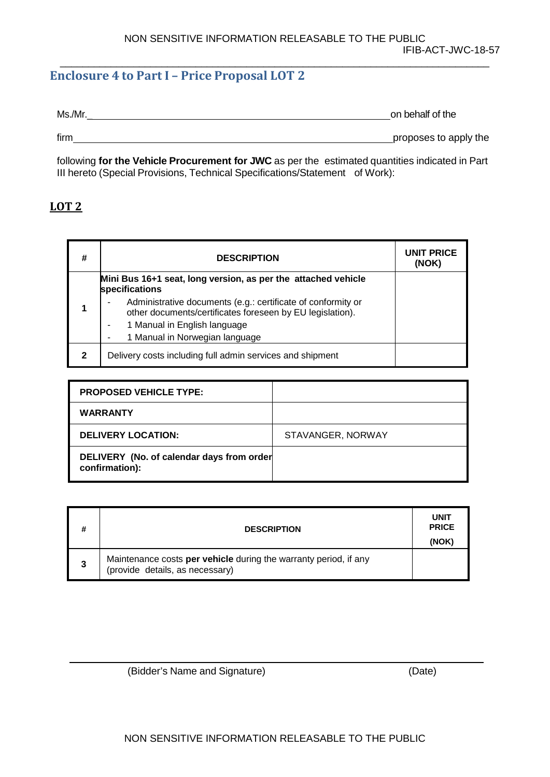#### <span id="page-12-0"></span>**Enclosure 4 to Part I – Price Proposal LOT 2**

| Ms./Mr.<br>on behalf of the |
|-----------------------------|
|-----------------------------|

firm <u>proposes</u> to apply the

following **for the Vehicle Procurement for JWC** as per the estimated quantities indicated in Part III hereto (Special Provisions, Technical Specifications/Statement of Work):

#### <span id="page-12-1"></span>**LOT 2**

| # | <b>DESCRIPTION</b>                                                                                                        | UNIT PRICE<br>(NOK) |
|---|---------------------------------------------------------------------------------------------------------------------------|---------------------|
|   | Mini Bus 16+1 seat, long version, as per the attached vehicle<br>specifications                                           |                     |
|   | Administrative documents (e.g.: certificate of conformity or<br>other documents/certificates foreseen by EU legislation). |                     |
|   | 1 Manual in English language<br>۰                                                                                         |                     |
|   | 1 Manual in Norwegian language                                                                                            |                     |
| 2 | Delivery costs including full admin services and shipment                                                                 |                     |

| <b>PROPOSED VEHICLE TYPE:</b>                               |                   |
|-------------------------------------------------------------|-------------------|
| <b>WARRANTY</b>                                             |                   |
| <b>DELIVERY LOCATION:</b>                                   | STAVANGER, NORWAY |
| DELIVERY (No. of calendar days from order<br>confirmation): |                   |

| # | <b>DESCRIPTION</b>                                                                                  | <b>UNIT</b><br><b>PRICE</b><br>(NOK) |
|---|-----------------------------------------------------------------------------------------------------|--------------------------------------|
| 3 | Maintenance costs per vehicle during the warranty period, if any<br>(provide details, as necessary) |                                      |

(Bidder's Name and Signature) (Date)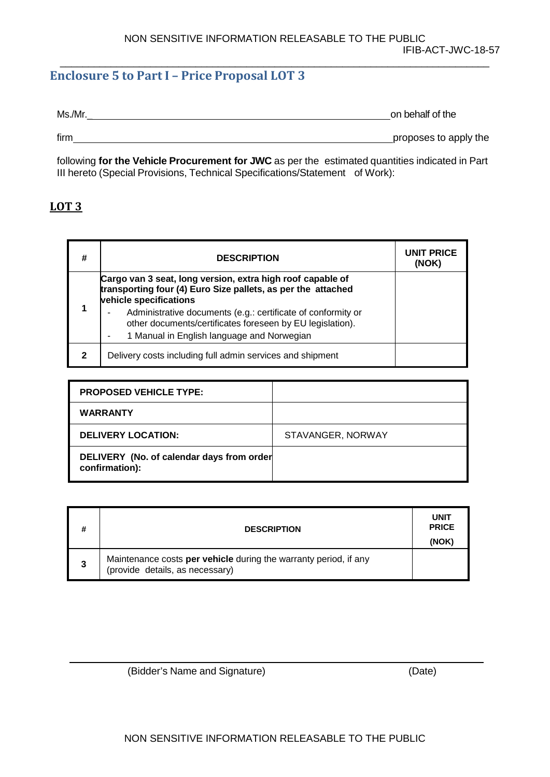#### <span id="page-13-0"></span>**Enclosure 5 to Part I – Price Proposal LOT 3**

Ms./Mr.

firm **proposes to apply the proposes** to apply the

following **for the Vehicle Procurement for JWC** as per the estimated quantities indicated in Part III hereto (Special Provisions, Technical Specifications/Statement of Work):

#### <span id="page-13-1"></span>**LOT 3**

| #            | <b>DESCRIPTION</b>                                                                                                                                                      | UNIT PRICE<br>(NOK) |
|--------------|-------------------------------------------------------------------------------------------------------------------------------------------------------------------------|---------------------|
|              | Cargo van 3 seat, long version, extra high roof capable of<br>transporting four (4) Euro Size pallets, as per the attached<br>vehicle specifications                    |                     |
| 1            | Administrative documents (e.g.: certificate of conformity or<br>other documents/certificates foreseen by EU legislation).<br>1 Manual in English language and Norwegian |                     |
| $\mathbf{2}$ | Delivery costs including full admin services and shipment                                                                                                               |                     |

| <b>PROPOSED VEHICLE TYPE:</b>                               |                   |
|-------------------------------------------------------------|-------------------|
| <b>WARRANTY</b>                                             |                   |
| <b>DELIVERY LOCATION:</b>                                   | STAVANGER, NORWAY |
| DELIVERY (No. of calendar days from order<br>confirmation): |                   |

| # | <b>DESCRIPTION</b>                                                                                  | <b>UNIT</b><br><b>PRICE</b><br>(NOK) |
|---|-----------------------------------------------------------------------------------------------------|--------------------------------------|
| 3 | Maintenance costs per vehicle during the warranty period, if any<br>(provide details, as necessary) |                                      |

(Bidder's Name and Signature) (Date)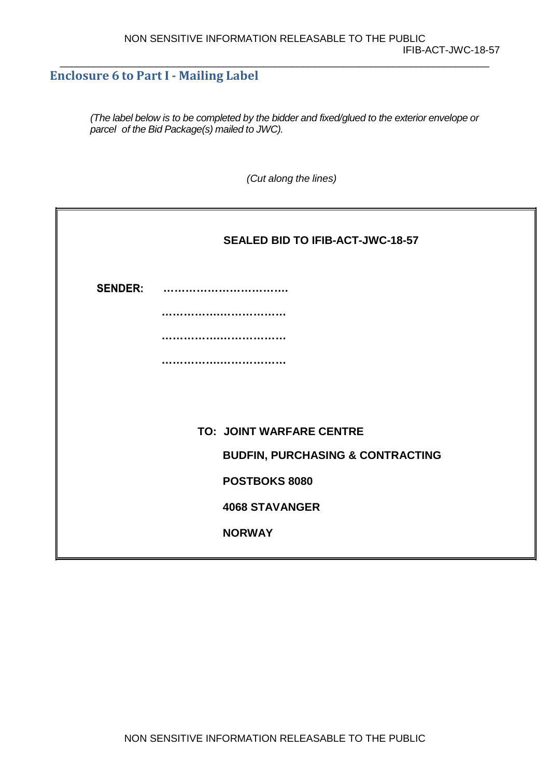#### <span id="page-14-0"></span>**Enclosure 6 to Part I - Mailing Label**

*(The label below is to be completed by the bidder and fixed/glued to the exterior envelope or parcel of the Bid Package(s) mailed to JWC).*

*(Cut along the lines)*

|                                             | SEALED BID TO IFIB-ACT-JWC-18-57 |
|---------------------------------------------|----------------------------------|
| <b>SENDER:</b>                              |                                  |
|                                             |                                  |
|                                             |                                  |
|                                             |                                  |
|                                             |                                  |
|                                             | <b>TO: JOINT WARFARE CENTRE</b>  |
| <b>BUDFIN, PURCHASING &amp; CONTRACTING</b> |                                  |
| POSTBOKS 8080                               |                                  |
|                                             | <b>4068 STAVANGER</b>            |
|                                             | <b>NORWAY</b>                    |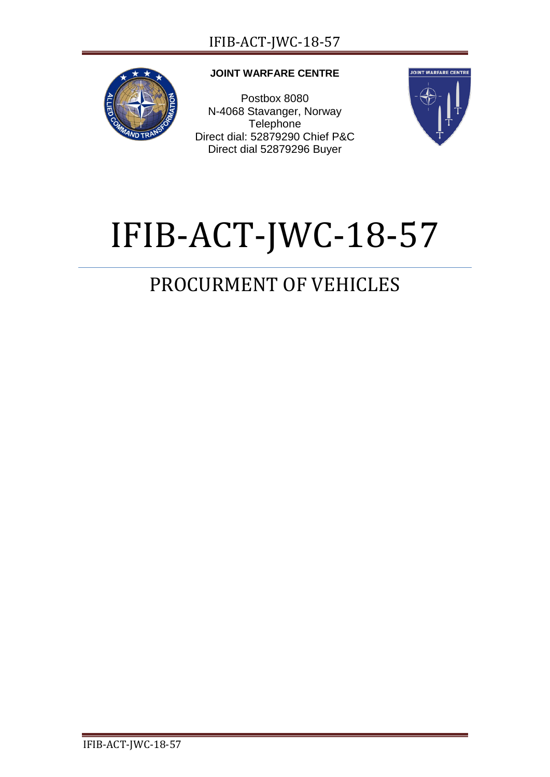

#### **JOINT WARFARE CENTRE**

Postbox 8080 N-4068 Stavanger, Norway **Telephone** Direct dial: 52879290 Chief P&C Direct dial 52879296 Buyer



# IFIB-ACT-JWC-18-57

# PROCURMENT OF VEHICLES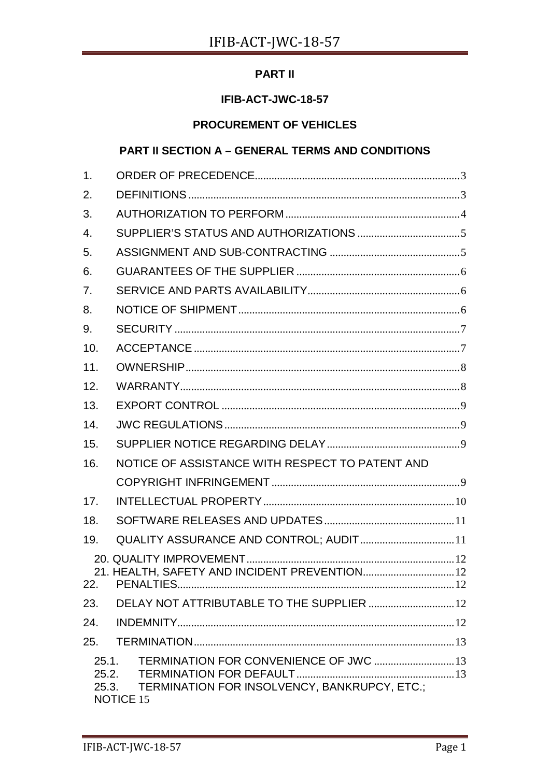#### **PART II**

#### IFIB-ACT-JWC-18-57

#### **PROCUREMENT OF VEHICLES**

#### **PART II SECTION A - GENERAL TERMS AND CONDITIONS**

| $\mathbf 1$ .           |                                                                                                            |
|-------------------------|------------------------------------------------------------------------------------------------------------|
| 2.                      |                                                                                                            |
| 3.                      |                                                                                                            |
| $\overline{4}$ .        |                                                                                                            |
| 5.                      |                                                                                                            |
| 6.                      |                                                                                                            |
| 7 <sub>1</sub>          |                                                                                                            |
| 8.                      |                                                                                                            |
| 9.                      |                                                                                                            |
| 10.                     |                                                                                                            |
| 11.                     |                                                                                                            |
| 12.                     |                                                                                                            |
| 13.                     |                                                                                                            |
| 14.                     |                                                                                                            |
| 15.                     |                                                                                                            |
| 16.                     | NOTICE OF ASSISTANCE WITH RESPECT TO PATENT AND                                                            |
|                         |                                                                                                            |
| 17.                     |                                                                                                            |
| 18.                     |                                                                                                            |
| 19.                     | QUALITY ASSURANCE AND CONTROL; AUDIT 11                                                                    |
| 22.                     | 21. HEALTH, SAFETY AND INCIDENT PREVENTION 12                                                              |
| 23.                     | DELAY NOT ATTRIBUTABLE TO THE SUPPLIER  12                                                                 |
| 24.                     |                                                                                                            |
| 25.                     |                                                                                                            |
| 25.1.<br>25.2.<br>25.3. | TERMINATION FOR CONVENIENCE OF JWC  13<br>TERMINATION FOR INSOLVENCY, BANKRUPCY, ETC.;<br><b>NOTICE 15</b> |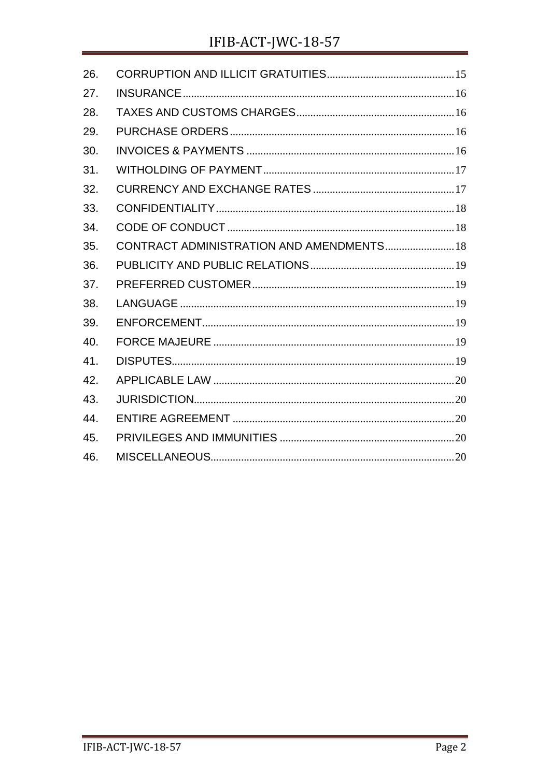# IFIB-ACT-JWC-18-57

| 26. |                                           |  |
|-----|-------------------------------------------|--|
| 27. |                                           |  |
| 28. |                                           |  |
| 29. |                                           |  |
| 30. |                                           |  |
| 31. |                                           |  |
| 32. |                                           |  |
| 33. |                                           |  |
| 34. |                                           |  |
| 35. | CONTRACT ADMINISTRATION AND AMENDMENTS 18 |  |
| 36. |                                           |  |
| 37. |                                           |  |
| 38. |                                           |  |
| 39. |                                           |  |
| 40. |                                           |  |
| 41. |                                           |  |
| 42. |                                           |  |
| 43. |                                           |  |
| 44. |                                           |  |
| 45. |                                           |  |
| 46. |                                           |  |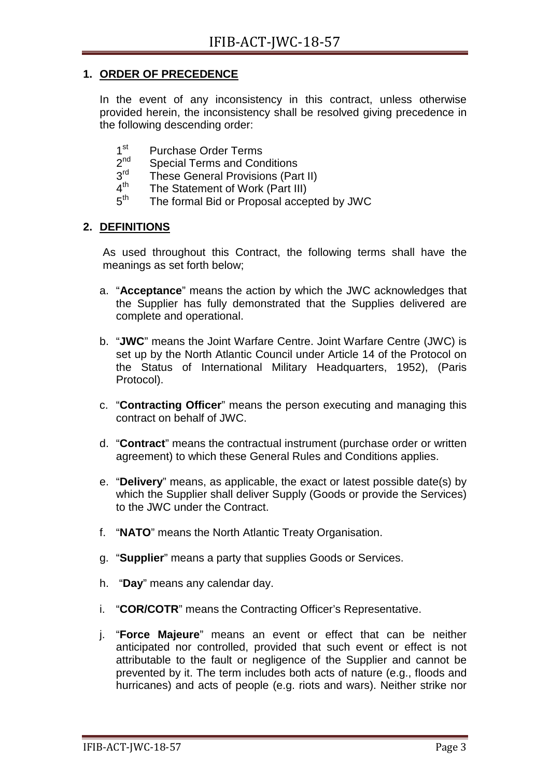#### <span id="page-18-0"></span>**1. ORDER OF PRECEDENCE**

In the event of any inconsistency in this contract, unless otherwise provided herein, the inconsistency shall be resolved giving precedence in the following descending order:

- $1<sup>st</sup>$  Purchase Order Terms<br> $2<sup>nd</sup>$  Special Terms and Con
- $2^{na}$  Special Terms and Conditions<br> $3^{rd}$  These General Provisions (Por
- $3<sup>rd</sup>$  These General Provisions (Part II)<br> $4<sup>th</sup>$  The Statement of Work (Part III)
- $4<sup>th</sup>$  The Statement of Work (Part III)<br> $5<sup>th</sup>$  The formal Bid or Proposal accord
- The formal Bid or Proposal accepted by JWC

#### <span id="page-18-1"></span>**2. DEFINITIONS**

As used throughout this Contract, the following terms shall have the meanings as set forth below;

- a. "**Acceptance**" means the action by which the JWC acknowledges that the Supplier has fully demonstrated that the Supplies delivered are complete and operational.
- b. "**JWC**" means the Joint Warfare Centre. Joint Warfare Centre (JWC) is set up by the North Atlantic Council under Article 14 of the Protocol on the Status of International Military Headquarters, 1952), (Paris Protocol).
- c. "**Contracting Officer**" means the person executing and managing this contract on behalf of JWC.
- d. "**Contract**" means the contractual instrument (purchase order or written agreement) to which these General Rules and Conditions applies.
- e. "**Delivery**" means, as applicable, the exact or latest possible date(s) by which the Supplier shall deliver Supply (Goods or provide the Services) to the JWC under the Contract.
- f. "**NATO**" means the North Atlantic Treaty Organisation.
- g. "**Supplier**" means a party that supplies Goods or Services.
- h. "**Day**" means any calendar day.
- i. "**COR/COTR**" means the Contracting Officer's Representative.
- j. "**Force Majeure**" means an event or effect that can be neither anticipated nor controlled, provided that such event or effect is not attributable to the fault or negligence of the Supplier and cannot be prevented by it. The term includes both acts of nature (e.g., floods and hurricanes) and acts of people (e.g. riots and wars). Neither strike nor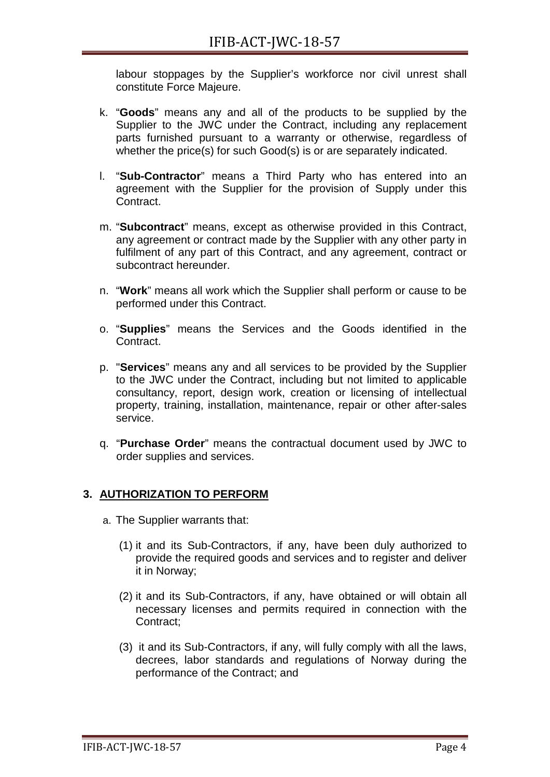labour stoppages by the Supplier's workforce nor civil unrest shall constitute Force Majeure.

- k. "**Goods**" means any and all of the products to be supplied by the Supplier to the JWC under the Contract, including any replacement parts furnished pursuant to a warranty or otherwise, regardless of whether the price(s) for such Good(s) is or are separately indicated.
- l. "**Sub-Contractor**" means a Third Party who has entered into an agreement with the Supplier for the provision of Supply under this Contract.
- m. "**Subcontract**" means, except as otherwise provided in this Contract, any agreement or contract made by the Supplier with any other party in fulfilment of any part of this Contract, and any agreement, contract or subcontract hereunder.
- n. "**Work**" means all work which the Supplier shall perform or cause to be performed under this Contract.
- o. "**Supplies**" means the Services and the Goods identified in the Contract.
- p. "**Services**" means any and all services to be provided by the Supplier to the JWC under the Contract, including but not limited to applicable consultancy, report, design work, creation or licensing of intellectual property, training, installation, maintenance, repair or other after-sales service.
- q. "**Purchase Order**" means the contractual document used by JWC to order supplies and services.

#### <span id="page-19-0"></span>**3. AUTHORIZATION TO PERFORM**

- a. The Supplier warrants that:
	- (1) it and its Sub-Contractors, if any, have been duly authorized to provide the required goods and services and to register and deliver it in Norway;
	- (2) it and its Sub-Contractors, if any, have obtained or will obtain all necessary licenses and permits required in connection with the Contract;
	- (3) it and its Sub-Contractors, if any, will fully comply with all the laws, decrees, labor standards and regulations of Norway during the performance of the Contract; and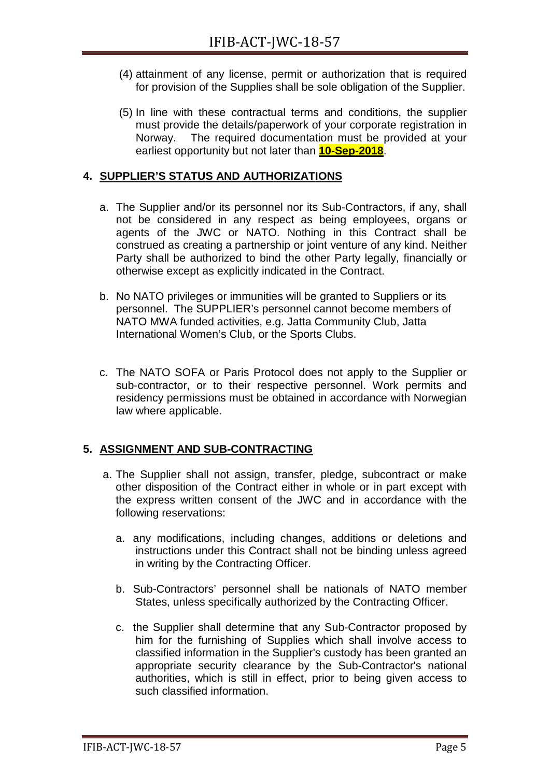- (4) attainment of any license, permit or authorization that is required for provision of the Supplies shall be sole obligation of the Supplier.
- (5) In line with these contractual terms and conditions, the supplier must provide the details/paperwork of your corporate registration in Norway. The required documentation must be provided at your earliest opportunity but not later than **10-Sep-2018**.

#### <span id="page-20-0"></span>**4. SUPPLIER'S STATUS AND AUTHORIZATIONS**

- a. The Supplier and/or its personnel nor its Sub-Contractors, if any, shall not be considered in any respect as being employees, organs or agents of the JWC or NATO. Nothing in this Contract shall be construed as creating a partnership or joint venture of any kind. Neither Party shall be authorized to bind the other Party legally, financially or otherwise except as explicitly indicated in the Contract.
- b. No NATO privileges or immunities will be granted to Suppliers or its personnel. The SUPPLIER's personnel cannot become members of NATO MWA funded activities, e.g. Jatta Community Club, Jatta International Women's Club, or the Sports Clubs.
- c. The NATO SOFA or Paris Protocol does not apply to the Supplier or sub-contractor, or to their respective personnel. Work permits and residency permissions must be obtained in accordance with Norwegian law where applicable.

#### <span id="page-20-1"></span>**5. ASSIGNMENT AND SUB-CONTRACTING**

- a. The Supplier shall not assign, transfer, pledge, subcontract or make other disposition of the Contract either in whole or in part except with the express written consent of the JWC and in accordance with the following reservations:
	- a. any modifications, including changes, additions or deletions and instructions under this Contract shall not be binding unless agreed in writing by the Contracting Officer.
	- b. Sub-Contractors' personnel shall be nationals of NATO member States, unless specifically authorized by the Contracting Officer.
	- c. the Supplier shall determine that any Sub-Contractor proposed by him for the furnishing of Supplies which shall involve access to classified information in the Supplier's custody has been granted an appropriate security clearance by the Sub-Contractor's national authorities, which is still in effect, prior to being given access to such classified information.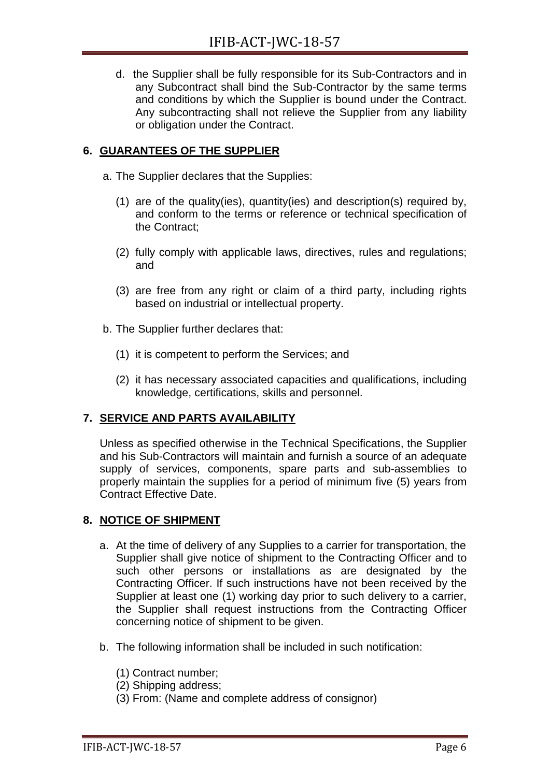d. the Supplier shall be fully responsible for its Sub-Contractors and in any Subcontract shall bind the Sub-Contractor by the same terms and conditions by which the Supplier is bound under the Contract. Any subcontracting shall not relieve the Supplier from any liability or obligation under the Contract.

#### <span id="page-21-0"></span>**6. GUARANTEES OF THE SUPPLIER**

- a. The Supplier declares that the Supplies:
	- (1) are of the quality(ies), quantity(ies) and description(s) required by, and conform to the terms or reference or technical specification of the Contract;
	- (2) fully comply with applicable laws, directives, rules and regulations; and
	- (3) are free from any right or claim of a third party, including rights based on industrial or intellectual property.
- b. The Supplier further declares that:
	- (1) it is competent to perform the Services; and
	- (2) it has necessary associated capacities and qualifications, including knowledge, certifications, skills and personnel.

#### <span id="page-21-1"></span>**7. SERVICE AND PARTS AVAILABILITY**

Unless as specified otherwise in the Technical Specifications, the Supplier and his Sub-Contractors will maintain and furnish a source of an adequate supply of services, components, spare parts and sub-assemblies to properly maintain the supplies for a period of minimum five (5) years from Contract Effective Date.

#### <span id="page-21-2"></span>**8. NOTICE OF SHIPMENT**

- a. At the time of delivery of any Supplies to a carrier for transportation, the Supplier shall give notice of shipment to the Contracting Officer and to such other persons or installations as are designated by the Contracting Officer. If such instructions have not been received by the Supplier at least one (1) working day prior to such delivery to a carrier, the Supplier shall request instructions from the Contracting Officer concerning notice of shipment to be given.
- b. The following information shall be included in such notification:
	- (1) Contract number;
	- (2) Shipping address;
	- (3) From: (Name and complete address of consignor)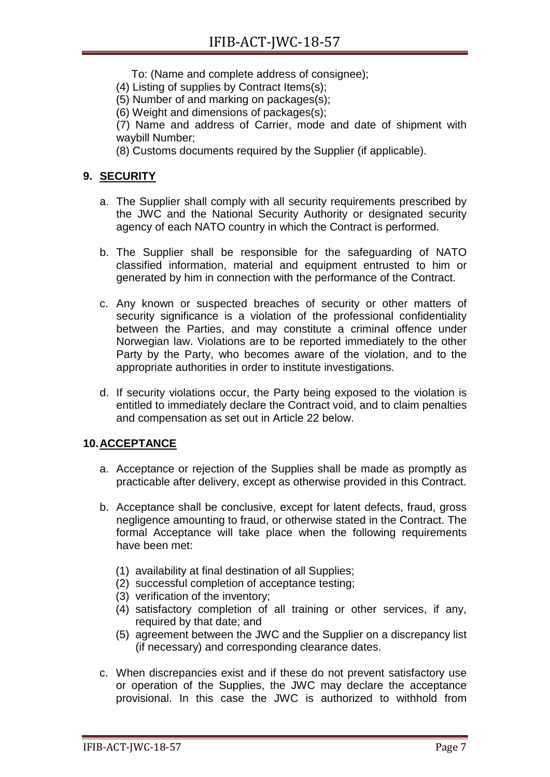- To: (Name and complete address of consignee);
- (4) Listing of supplies by Contract Items(s);
- (5) Number of and marking on packages(s);
- (6) Weight and dimensions of packages(s);

(7) Name and address of Carrier, mode and date of shipment with waybill Number;

(8) Customs documents required by the Supplier (if applicable).

#### <span id="page-22-0"></span>**9. SECURITY**

- a. The Supplier shall comply with all security requirements prescribed by the JWC and the National Security Authority or designated security agency of each NATO country in which the Contract is performed.
- b. The Supplier shall be responsible for the safeguarding of NATO classified information, material and equipment entrusted to him or generated by him in connection with the performance of the Contract.
- c. Any known or suspected breaches of security or other matters of security significance is a violation of the professional confidentiality between the Parties, and may constitute a criminal offence under Norwegian law. Violations are to be reported immediately to the other Party by the Party, who becomes aware of the violation, and to the appropriate authorities in order to institute investigations.
- d. If security violations occur, the Party being exposed to the violation is entitled to immediately declare the Contract void, and to claim penalties and compensation as set out in Article 22 below.

#### <span id="page-22-1"></span>**10.ACCEPTANCE**

- a. Acceptance or rejection of the Supplies shall be made as promptly as practicable after delivery, except as otherwise provided in this Contract.
- b. Acceptance shall be conclusive, except for latent defects, fraud, gross negligence amounting to fraud, or otherwise stated in the Contract. The formal Acceptance will take place when the following requirements have been met:
	- (1) availability at final destination of all Supplies;
	- (2) successful completion of acceptance testing;
	- (3) verification of the inventory;
	- (4) satisfactory completion of all training or other services, if any, required by that date; and
	- (5) agreement between the JWC and the Supplier on a discrepancy list (if necessary) and corresponding clearance dates.
- c. When discrepancies exist and if these do not prevent satisfactory use or operation of the Supplies, the JWC may declare the acceptance provisional. In this case the JWC is authorized to withhold from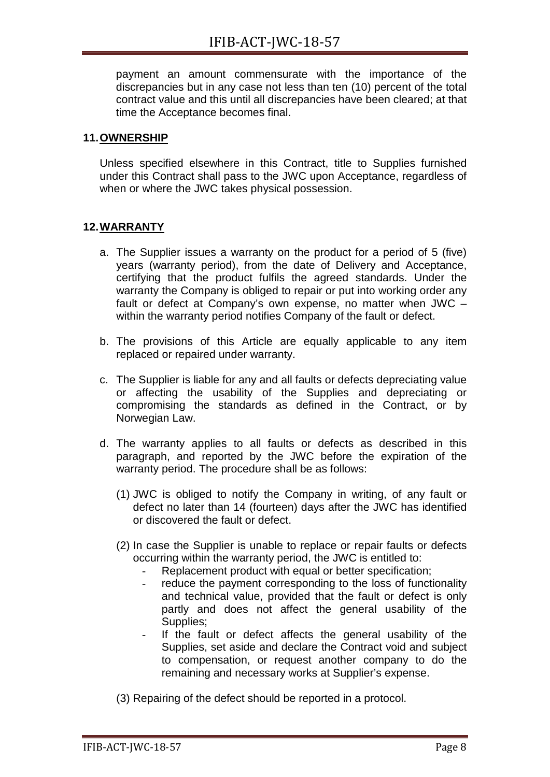payment an amount commensurate with the importance of the discrepancies but in any case not less than ten (10) percent of the total contract value and this until all discrepancies have been cleared; at that time the Acceptance becomes final.

#### <span id="page-23-0"></span>**11.OWNERSHIP**

Unless specified elsewhere in this Contract, title to Supplies furnished under this Contract shall pass to the JWC upon Acceptance, regardless of when or where the JWC takes physical possession.

#### <span id="page-23-1"></span>**12.WARRANTY**

- a. The Supplier issues a warranty on the product for a period of 5 (five) years (warranty period), from the date of Delivery and Acceptance, certifying that the product fulfils the agreed standards. Under the warranty the Company is obliged to repair or put into working order any fault or defect at Company's own expense, no matter when JWC – within the warranty period notifies Company of the fault or defect.
- b. The provisions of this Article are equally applicable to any item replaced or repaired under warranty.
- c. The Supplier is liable for any and all faults or defects depreciating value or affecting the usability of the Supplies and depreciating or compromising the standards as defined in the Contract, or by Norwegian Law.
- d. The warranty applies to all faults or defects as described in this paragraph, and reported by the JWC before the expiration of the warranty period. The procedure shall be as follows:
	- (1) JWC is obliged to notify the Company in writing, of any fault or defect no later than 14 (fourteen) days after the JWC has identified or discovered the fault or defect.
	- (2) In case the Supplier is unable to replace or repair faults or defects occurring within the warranty period, the JWC is entitled to:
		- Replacement product with equal or better specification;
		- reduce the payment corresponding to the loss of functionality and technical value, provided that the fault or defect is only partly and does not affect the general usability of the Supplies;
		- If the fault or defect affects the general usability of the Supplies, set aside and declare the Contract void and subject to compensation, or request another company to do the remaining and necessary works at Supplier's expense.
	- (3) Repairing of the defect should be reported in a protocol.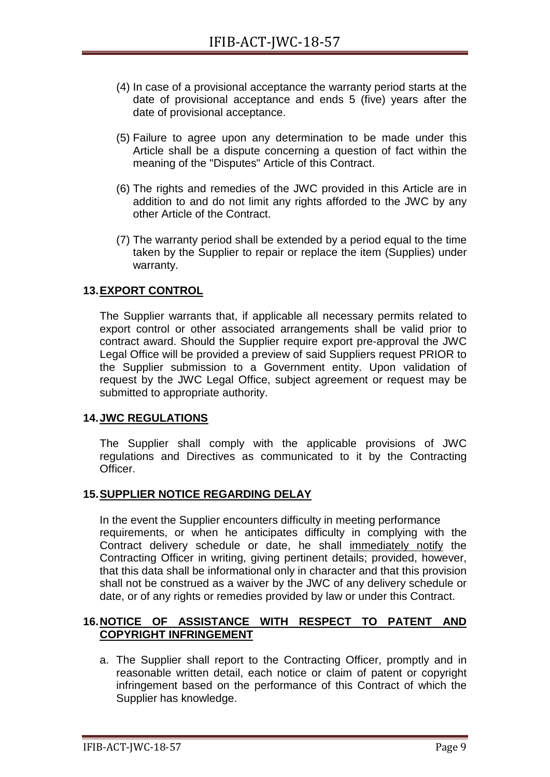- (4) In case of a provisional acceptance the warranty period starts at the date of provisional acceptance and ends 5 (five) years after the date of provisional acceptance.
- (5) Failure to agree upon any determination to be made under this Article shall be a dispute concerning a question of fact within the meaning of the "Disputes" Article of this Contract.
- (6) The rights and remedies of the JWC provided in this Article are in addition to and do not limit any rights afforded to the JWC by any other Article of the Contract.
- (7) The warranty period shall be extended by a period equal to the time taken by the Supplier to repair or replace the item (Supplies) under warranty.

#### <span id="page-24-0"></span>**13.EXPORT CONTROL**

The Supplier warrants that, if applicable all necessary permits related to export control or other associated arrangements shall be valid prior to contract award. Should the Supplier require export pre-approval the JWC Legal Office will be provided a preview of said Suppliers request PRIOR to the Supplier submission to a Government entity. Upon validation of request by the JWC Legal Office, subject agreement or request may be submitted to appropriate authority.

#### <span id="page-24-1"></span>**14.JWC REGULATIONS**

The Supplier shall comply with the applicable provisions of JWC regulations and Directives as communicated to it by the Contracting Officer.

#### <span id="page-24-2"></span>**15.SUPPLIER NOTICE REGARDING DELAY**

In the event the Supplier encounters difficulty in meeting performance requirements, or when he anticipates difficulty in complying with the Contract delivery schedule or date, he shall immediately notify the Contracting Officer in writing, giving pertinent details; provided, however, that this data shall be informational only in character and that this provision shall not be construed as a waiver by the JWC of any delivery schedule or date, or of any rights or remedies provided by law or under this Contract.

#### <span id="page-24-3"></span>**16.NOTICE OF ASSISTANCE WITH RESPECT TO PATENT AND COPYRIGHT INFRINGEMENT**

a. The Supplier shall report to the Contracting Officer, promptly and in reasonable written detail, each notice or claim of patent or copyright infringement based on the performance of this Contract of which the Supplier has knowledge.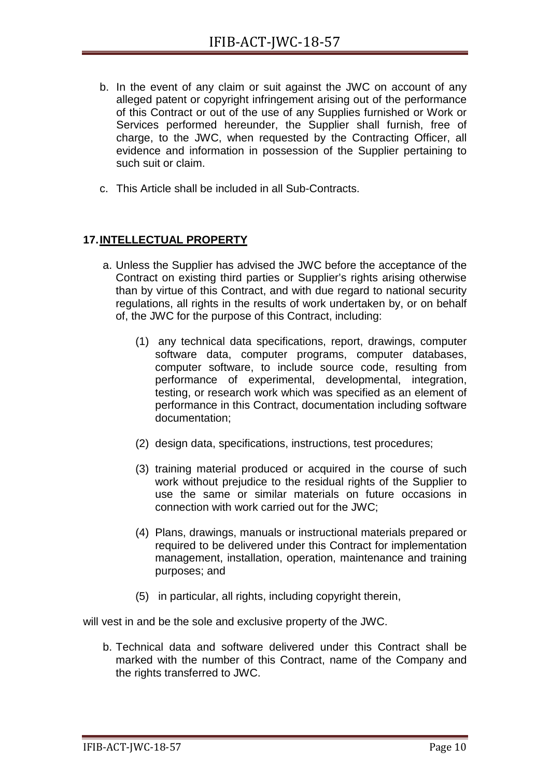- b. In the event of any claim or suit against the JWC on account of any alleged patent or copyright infringement arising out of the performance of this Contract or out of the use of any Supplies furnished or Work or Services performed hereunder, the Supplier shall furnish, free of charge, to the JWC, when requested by the Contracting Officer, all evidence and information in possession of the Supplier pertaining to such suit or claim.
- c. This Article shall be included in all Sub-Contracts.

#### <span id="page-25-0"></span>**17.INTELLECTUAL PROPERTY**

- a. Unless the Supplier has advised the JWC before the acceptance of the Contract on existing third parties or Supplier's rights arising otherwise than by virtue of this Contract, and with due regard to national security regulations, all rights in the results of work undertaken by, or on behalf of, the JWC for the purpose of this Contract, including:
	- (1) any technical data specifications, report, drawings, computer software data, computer programs, computer databases, computer software, to include source code, resulting from performance of experimental, developmental, integration, testing, or research work which was specified as an element of performance in this Contract, documentation including software documentation;
	- (2) design data, specifications, instructions, test procedures;
	- (3) training material produced or acquired in the course of such work without prejudice to the residual rights of the Supplier to use the same or similar materials on future occasions in connection with work carried out for the JWC;
	- (4) Plans, drawings, manuals or instructional materials prepared or required to be delivered under this Contract for implementation management, installation, operation, maintenance and training purposes; and
	- (5) in particular, all rights, including copyright therein,

will vest in and be the sole and exclusive property of the JWC.

b. Technical data and software delivered under this Contract shall be marked with the number of this Contract, name of the Company and the rights transferred to JWC.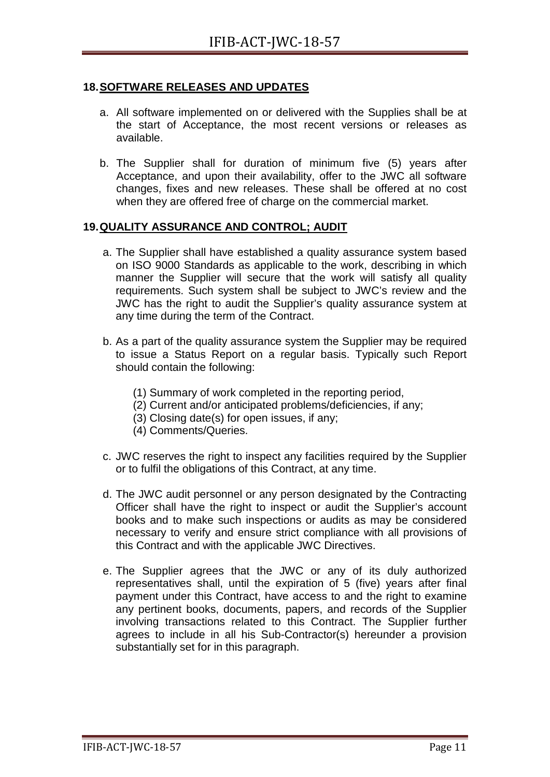#### <span id="page-26-0"></span>**18.SOFTWARE RELEASES AND UPDATES**

- a. All software implemented on or delivered with the Supplies shall be at the start of Acceptance, the most recent versions or releases as available.
- b. The Supplier shall for duration of minimum five (5) years after Acceptance, and upon their availability, offer to the JWC all software changes, fixes and new releases. These shall be offered at no cost when they are offered free of charge on the commercial market.

#### <span id="page-26-1"></span>**19.QUALITY ASSURANCE AND CONTROL; AUDIT**

- a. The Supplier shall have established a quality assurance system based on ISO 9000 Standards as applicable to the work, describing in which manner the Supplier will secure that the work will satisfy all quality requirements. Such system shall be subject to JWC's review and the JWC has the right to audit the Supplier's quality assurance system at any time during the term of the Contract.
- b. As a part of the quality assurance system the Supplier may be required to issue a Status Report on a regular basis. Typically such Report should contain the following:
	- (1) Summary of work completed in the reporting period,
	- (2) Current and/or anticipated problems/deficiencies, if any;
	- (3) Closing date(s) for open issues, if any;
	- (4) Comments/Queries.
- c. JWC reserves the right to inspect any facilities required by the Supplier or to fulfil the obligations of this Contract, at any time.
- d. The JWC audit personnel or any person designated by the Contracting Officer shall have the right to inspect or audit the Supplier's account books and to make such inspections or audits as may be considered necessary to verify and ensure strict compliance with all provisions of this Contract and with the applicable JWC Directives.
- e. The Supplier agrees that the JWC or any of its duly authorized representatives shall, until the expiration of 5 (five) years after final payment under this Contract, have access to and the right to examine any pertinent books, documents, papers, and records of the Supplier involving transactions related to this Contract. The Supplier further agrees to include in all his Sub-Contractor(s) hereunder a provision substantially set for in this paragraph.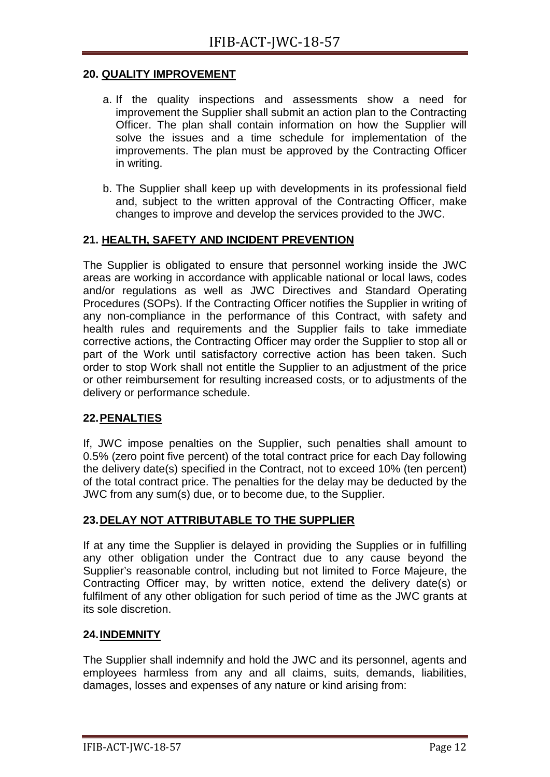#### <span id="page-27-0"></span>**20. QUALITY IMPROVEMENT**

- a. If the quality inspections and assessments show a need for improvement the Supplier shall submit an action plan to the Contracting Officer. The plan shall contain information on how the Supplier will solve the issues and a time schedule for implementation of the improvements. The plan must be approved by the Contracting Officer in writing.
- b. The Supplier shall keep up with developments in its professional field and, subject to the written approval of the Contracting Officer, make changes to improve and develop the services provided to the JWC.

#### <span id="page-27-1"></span>**21. HEALTH, SAFETY AND INCIDENT PREVENTION**

The Supplier is obligated to ensure that personnel working inside the JWC areas are working in accordance with applicable national or local laws, codes and/or regulations as well as JWC Directives and Standard Operating Procedures (SOPs). If the Contracting Officer notifies the Supplier in writing of any non-compliance in the performance of this Contract, with safety and health rules and requirements and the Supplier fails to take immediate corrective actions, the Contracting Officer may order the Supplier to stop all or part of the Work until satisfactory corrective action has been taken. Such order to stop Work shall not entitle the Supplier to an adjustment of the price or other reimbursement for resulting increased costs, or to adjustments of the delivery or performance schedule.

#### <span id="page-27-2"></span>**22.PENALTIES**

If, JWC impose penalties on the Supplier, such penalties shall amount to 0.5% (zero point five percent) of the total contract price for each Day following the delivery date(s) specified in the Contract, not to exceed 10% (ten percent) of the total contract price. The penalties for the delay may be deducted by the JWC from any sum(s) due, or to become due, to the Supplier.

#### <span id="page-27-3"></span>**23.DELAY NOT ATTRIBUTABLE TO THE SUPPLIER**

If at any time the Supplier is delayed in providing the Supplies or in fulfilling any other obligation under the Contract due to any cause beyond the Supplier's reasonable control, including but not limited to Force Majeure, the Contracting Officer may, by written notice, extend the delivery date(s) or fulfilment of any other obligation for such period of time as the JWC grants at its sole discretion.

#### <span id="page-27-4"></span>**24.INDEMNITY**

The Supplier shall indemnify and hold the JWC and its personnel, agents and employees harmless from any and all claims, suits, demands, liabilities, damages, losses and expenses of any nature or kind arising from: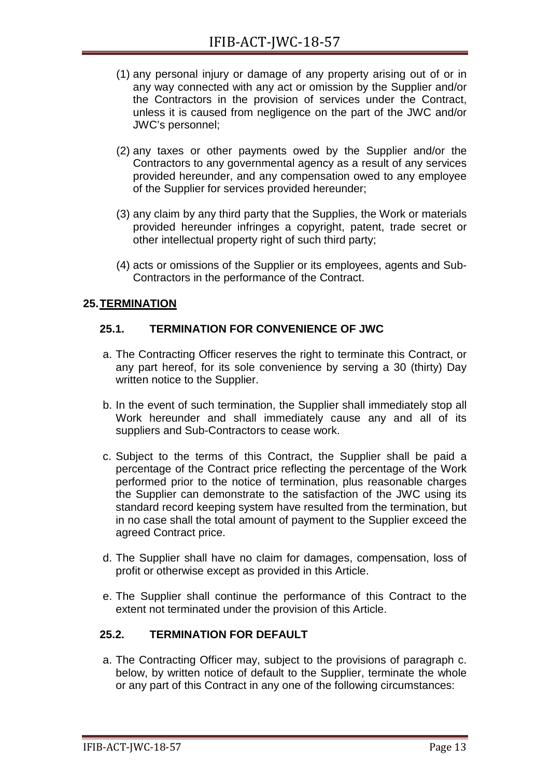- (1) any personal injury or damage of any property arising out of or in any way connected with any act or omission by the Supplier and/or the Contractors in the provision of services under the Contract, unless it is caused from negligence on the part of the JWC and/or JWC's personnel;
- (2) any taxes or other payments owed by the Supplier and/or the Contractors to any governmental agency as a result of any services provided hereunder, and any compensation owed to any employee of the Supplier for services provided hereunder;
- (3) any claim by any third party that the Supplies, the Work or materials provided hereunder infringes a copyright, patent, trade secret or other intellectual property right of such third party;
- (4) acts or omissions of the Supplier or its employees, agents and Sub-Contractors in the performance of the Contract.

#### <span id="page-28-0"></span>**25.TERMINATION**

#### <span id="page-28-1"></span>**25.1. TERMINATION FOR CONVENIENCE OF JWC**

- a. The Contracting Officer reserves the right to terminate this Contract, or any part hereof, for its sole convenience by serving a 30 (thirty) Day written notice to the Supplier.
- b. In the event of such termination, the Supplier shall immediately stop all Work hereunder and shall immediately cause any and all of its suppliers and Sub-Contractors to cease work.
- c. Subject to the terms of this Contract, the Supplier shall be paid a percentage of the Contract price reflecting the percentage of the Work performed prior to the notice of termination, plus reasonable charges the Supplier can demonstrate to the satisfaction of the JWC using its standard record keeping system have resulted from the termination, but in no case shall the total amount of payment to the Supplier exceed the agreed Contract price.
- d. The Supplier shall have no claim for damages, compensation, loss of profit or otherwise except as provided in this Article.
- e. The Supplier shall continue the performance of this Contract to the extent not terminated under the provision of this Article.

#### <span id="page-28-2"></span>**25.2. TERMINATION FOR DEFAULT**

a. The Contracting Officer may, subject to the provisions of paragraph c. below, by written notice of default to the Supplier, terminate the whole or any part of this Contract in any one of the following circumstances: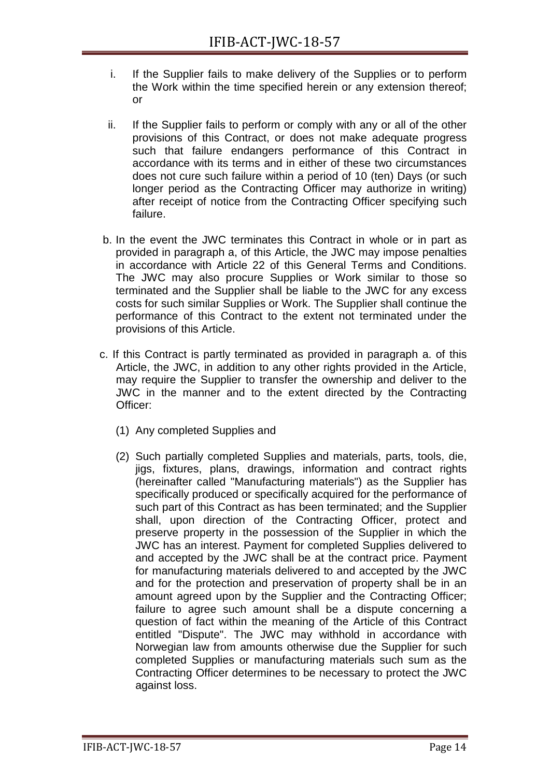- i. If the Supplier fails to make delivery of the Supplies or to perform the Work within the time specified herein or any extension thereof; or
- ii. If the Supplier fails to perform or comply with any or all of the other provisions of this Contract, or does not make adequate progress such that failure endangers performance of this Contract in accordance with its terms and in either of these two circumstances does not cure such failure within a period of 10 (ten) Days (or such longer period as the Contracting Officer may authorize in writing) after receipt of notice from the Contracting Officer specifying such failure.
- b. In the event the JWC terminates this Contract in whole or in part as provided in paragraph a, of this Article, the JWC may impose penalties in accordance with Article [22](#page-27-2) of this General Terms and Conditions. The JWC may also procure Supplies or Work similar to those so terminated and the Supplier shall be liable to the JWC for any excess costs for such similar Supplies or Work. The Supplier shall continue the performance of this Contract to the extent not terminated under the provisions of this Article.
- c. If this Contract is partly terminated as provided in paragraph a. of this Article, the JWC, in addition to any other rights provided in the Article, may require the Supplier to transfer the ownership and deliver to the JWC in the manner and to the extent directed by the Contracting Officer:
	- (1) Any completed Supplies and
	- (2) Such partially completed Supplies and materials, parts, tools, die, jigs, fixtures, plans, drawings, information and contract rights (hereinafter called "Manufacturing materials") as the Supplier has specifically produced or specifically acquired for the performance of such part of this Contract as has been terminated; and the Supplier shall, upon direction of the Contracting Officer, protect and preserve property in the possession of the Supplier in which the JWC has an interest. Payment for completed Supplies delivered to and accepted by the JWC shall be at the contract price. Payment for manufacturing materials delivered to and accepted by the JWC and for the protection and preservation of property shall be in an amount agreed upon by the Supplier and the Contracting Officer; failure to agree such amount shall be a dispute concerning a question of fact within the meaning of the Article of this Contract entitled "Dispute". The JWC may withhold in accordance with Norwegian law from amounts otherwise due the Supplier for such completed Supplies or manufacturing materials such sum as the Contracting Officer determines to be necessary to protect the JWC against loss.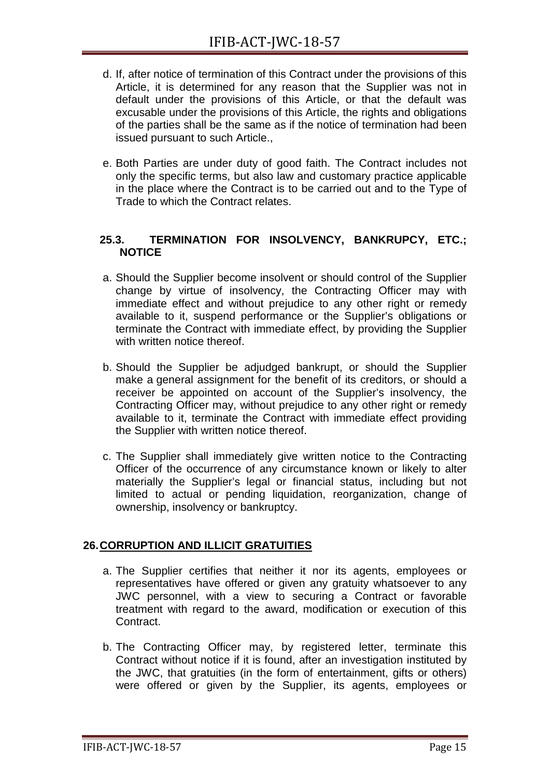- d. If, after notice of termination of this Contract under the provisions of this Article, it is determined for any reason that the Supplier was not in default under the provisions of this Article, or that the default was excusable under the provisions of this Article, the rights and obligations of the parties shall be the same as if the notice of termination had been issued pursuant to such Article.,
- e. Both Parties are under duty of good faith. The Contract includes not only the specific terms, but also law and customary practice applicable in the place where the Contract is to be carried out and to the Type of Trade to which the Contract relates.

#### <span id="page-30-0"></span>**25.3. TERMINATION FOR INSOLVENCY, BANKRUPCY, ETC.; NOTICE**

- a. Should the Supplier become insolvent or should control of the Supplier change by virtue of insolvency, the Contracting Officer may with immediate effect and without prejudice to any other right or remedy available to it, suspend performance or the Supplier's obligations or terminate the Contract with immediate effect, by providing the Supplier with written notice thereof.
- b. Should the Supplier be adjudged bankrupt, or should the Supplier make a general assignment for the benefit of its creditors, or should a receiver be appointed on account of the Supplier's insolvency, the Contracting Officer may, without prejudice to any other right or remedy available to it, terminate the Contract with immediate effect providing the Supplier with written notice thereof.
- c. The Supplier shall immediately give written notice to the Contracting Officer of the occurrence of any circumstance known or likely to alter materially the Supplier's legal or financial status, including but not limited to actual or pending liquidation, reorganization, change of ownership, insolvency or bankruptcy.

#### <span id="page-30-1"></span>**26.CORRUPTION AND ILLICIT GRATUITIES**

- a. The Supplier certifies that neither it nor its agents, employees or representatives have offered or given any gratuity whatsoever to any JWC personnel, with a view to securing a Contract or favorable treatment with regard to the award, modification or execution of this Contract.
- b. The Contracting Officer may, by registered letter, terminate this Contract without notice if it is found, after an investigation instituted by the JWC, that gratuities (in the form of entertainment, gifts or others) were offered or given by the Supplier, its agents, employees or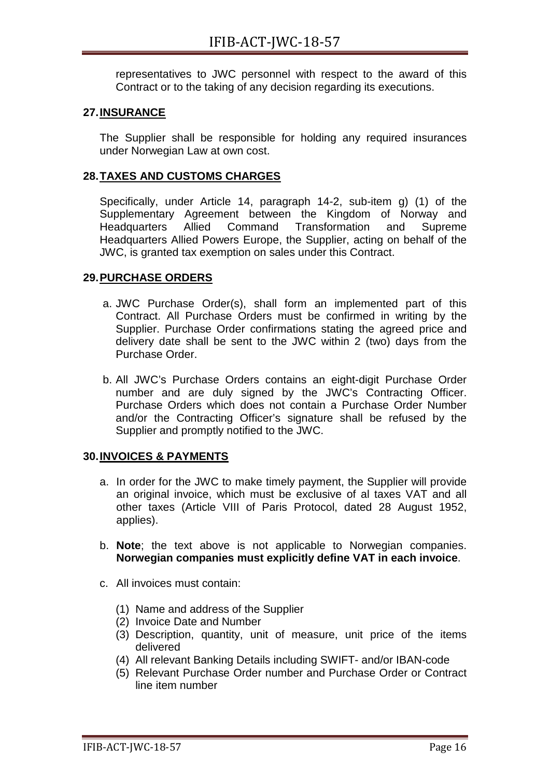representatives to JWC personnel with respect to the award of this Contract or to the taking of any decision regarding its executions.

#### <span id="page-31-0"></span>**27.INSURANCE**

The Supplier shall be responsible for holding any required insurances under Norwegian Law at own cost.

#### <span id="page-31-1"></span>**28.TAXES AND CUSTOMS CHARGES**

Specifically, under Article 14, paragraph 14-2, sub-item g) (1) of the Supplementary Agreement between the Kingdom of Norway and<br>Headquarters Allied Command Transformation and Supreme Headquarters Allied Command Transformation and Supreme Headquarters Allied Powers Europe, the Supplier, acting on behalf of the JWC, is granted tax exemption on sales under this Contract.

#### <span id="page-31-2"></span>**29.PURCHASE ORDERS**

- a. JWC Purchase Order(s), shall form an implemented part of this Contract. All Purchase Orders must be confirmed in writing by the Supplier. Purchase Order confirmations stating the agreed price and delivery date shall be sent to the JWC within 2 (two) days from the Purchase Order.
- b. All JWC's Purchase Orders contains an eight-digit Purchase Order number and are duly signed by the JWC's Contracting Officer. Purchase Orders which does not contain a Purchase Order Number and/or the Contracting Officer's signature shall be refused by the Supplier and promptly notified to the JWC.

#### <span id="page-31-3"></span>**30.INVOICES & PAYMENTS**

- a. In order for the JWC to make timely payment, the Supplier will provide an original invoice, which must be exclusive of al taxes VAT and all other taxes (Article VIII of Paris Protocol, dated 28 August 1952, applies).
- b. **Note**; the text above is not applicable to Norwegian companies. **Norwegian companies must explicitly define VAT in each invoice**.
- c. All invoices must contain:
	- (1) Name and address of the Supplier
	- (2) Invoice Date and Number
	- (3) Description, quantity, unit of measure, unit price of the items delivered
	- (4) All relevant Banking Details including SWIFT- and/or IBAN-code
	- (5) Relevant Purchase Order number and Purchase Order or Contract line item number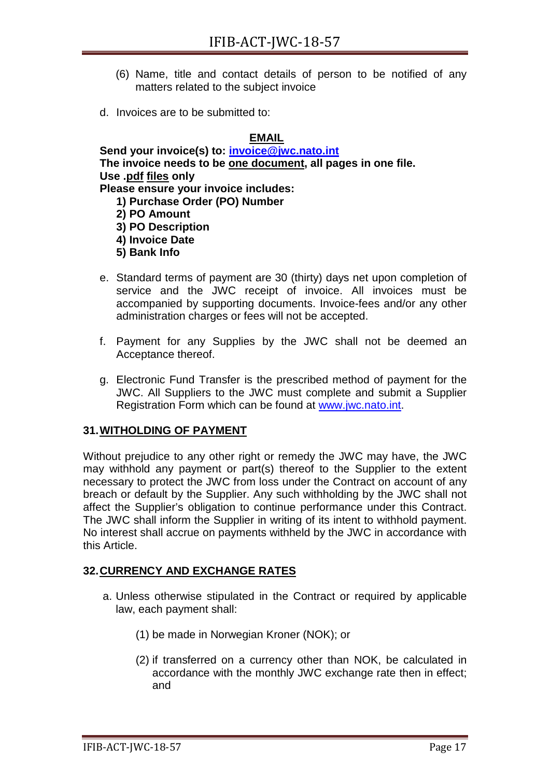- (6) Name, title and contact details of person to be notified of any matters related to the subject invoice
- d. Invoices are to be submitted to:

#### **EMAIL**

**Send your invoice(s) to: [invoice@jwc.nato.int](mailto:invoice@jwc.nato.int) The invoice needs to be one document, all pages in one file. Use .pdf files only Please ensure your invoice includes:** 

**1) Purchase Order (PO) Number**

- **2) PO Amount 3) PO Description 4) Invoice Date**
- **5) Bank Info**
- e. Standard terms of payment are 30 (thirty) days net upon completion of service and the JWC receipt of invoice. All invoices must be accompanied by supporting documents. Invoice-fees and/or any other administration charges or fees will not be accepted.
- f. Payment for any Supplies by the JWC shall not be deemed an Acceptance thereof.
- g. Electronic Fund Transfer is the prescribed method of payment for the JWC. All Suppliers to the JWC must complete and submit a Supplier Registration Form which can be found at [www.jwc.nato.int.](http://www.jwc.nato.int/)

#### <span id="page-32-0"></span>**31.WITHOLDING OF PAYMENT**

Without prejudice to any other right or remedy the JWC may have, the JWC may withhold any payment or part(s) thereof to the Supplier to the extent necessary to protect the JWC from loss under the Contract on account of any breach or default by the Supplier. Any such withholding by the JWC shall not affect the Supplier's obligation to continue performance under this Contract. The JWC shall inform the Supplier in writing of its intent to withhold payment. No interest shall accrue on payments withheld by the JWC in accordance with this Article.

#### <span id="page-32-1"></span>**32.CURRENCY AND EXCHANGE RATES**

- a. Unless otherwise stipulated in the Contract or required by applicable law, each payment shall:
	- (1) be made in Norwegian Kroner (NOK); or
	- (2) if transferred on a currency other than NOK, be calculated in accordance with the monthly JWC exchange rate then in effect; and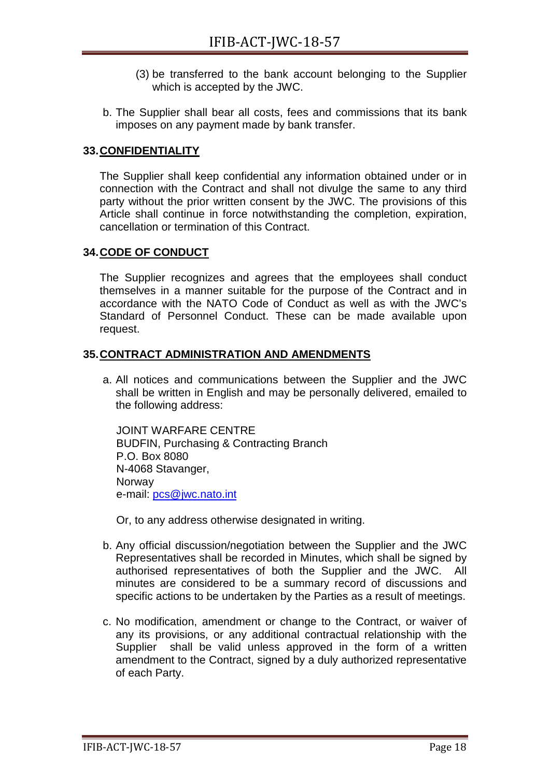- (3) be transferred to the bank account belonging to the Supplier which is accepted by the JWC.
- b. The Supplier shall bear all costs, fees and commissions that its bank imposes on any payment made by bank transfer.

#### <span id="page-33-0"></span>**33.CONFIDENTIALITY**

The Supplier shall keep confidential any information obtained under or in connection with the Contract and shall not divulge the same to any third party without the prior written consent by the JWC. The provisions of this Article shall continue in force notwithstanding the completion, expiration, cancellation or termination of this Contract.

#### <span id="page-33-1"></span>**34.CODE OF CONDUCT**

The Supplier recognizes and agrees that the employees shall conduct themselves in a manner suitable for the purpose of the Contract and in accordance with the NATO Code of Conduct as well as with the JWC's Standard of Personnel Conduct. These can be made available upon request.

#### <span id="page-33-2"></span>**35.CONTRACT ADMINISTRATION AND AMENDMENTS**

a. All notices and communications between the Supplier and the JWC shall be written in English and may be personally delivered, emailed to the following address:

JOINT WARFARE CENTRE BUDFIN, Purchasing & Contracting Branch P.O. Box 8080 N-4068 Stavanger, **Norway** e-mail: [pcs@jwc.nato.int](mailto:pcs@jwc.nato.int)

Or, to any address otherwise designated in writing.

- b. Any official discussion/negotiation between the Supplier and the JWC Representatives shall be recorded in Minutes, which shall be signed by authorised representatives of both the Supplier and the JWC. All minutes are considered to be a summary record of discussions and specific actions to be undertaken by the Parties as a result of meetings.
- c. No modification, amendment or change to the Contract, or waiver of any its provisions, or any additional contractual relationship with the Supplier shall be valid unless approved in the form of a written amendment to the Contract, signed by a duly authorized representative of each Party.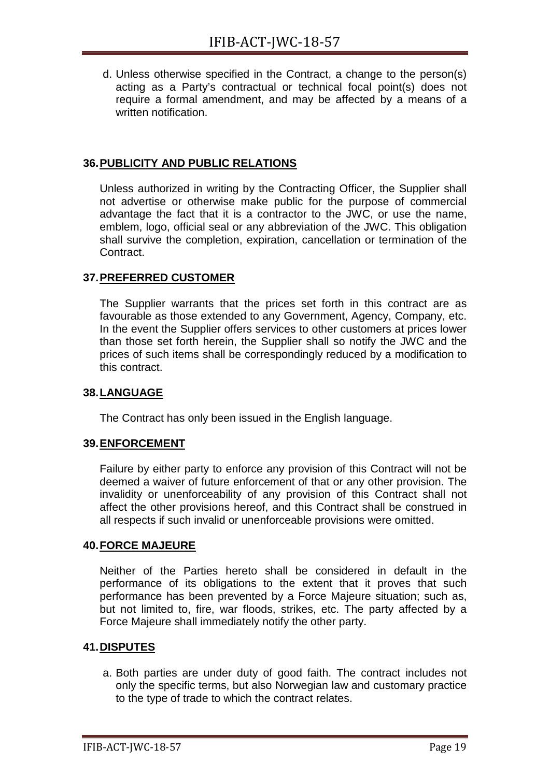d. Unless otherwise specified in the Contract, a change to the person(s) acting as a Party's contractual or technical focal point(s) does not require a formal amendment, and may be affected by a means of a written notification.

#### <span id="page-34-0"></span>**36.PUBLICITY AND PUBLIC RELATIONS**

Unless authorized in writing by the Contracting Officer, the Supplier shall not advertise or otherwise make public for the purpose of commercial advantage the fact that it is a contractor to the JWC, or use the name, emblem, logo, official seal or any abbreviation of the JWC. This obligation shall survive the completion, expiration, cancellation or termination of the Contract.

#### <span id="page-34-1"></span>**37.PREFERRED CUSTOMER**

The Supplier warrants that the prices set forth in this contract are as favourable as those extended to any Government, Agency, Company, etc. In the event the Supplier offers services to other customers at prices lower than those set forth herein, the Supplier shall so notify the JWC and the prices of such items shall be correspondingly reduced by a modification to this contract.

#### <span id="page-34-2"></span>**38.LANGUAGE**

The Contract has only been issued in the English language.

#### <span id="page-34-3"></span>**39.ENFORCEMENT**

Failure by either party to enforce any provision of this Contract will not be deemed a waiver of future enforcement of that or any other provision. The invalidity or unenforceability of any provision of this Contract shall not affect the other provisions hereof, and this Contract shall be construed in all respects if such invalid or unenforceable provisions were omitted.

#### <span id="page-34-4"></span>**40.FORCE MAJEURE**

Neither of the Parties hereto shall be considered in default in the performance of its obligations to the extent that it proves that such performance has been prevented by a Force Majeure situation; such as, but not limited to, fire, war floods, strikes, etc. The party affected by a Force Majeure shall immediately notify the other party.

#### <span id="page-34-5"></span>**41.DISPUTES**

a. Both parties are under duty of good faith. The contract includes not only the specific terms, but also Norwegian law and customary practice to the type of trade to which the contract relates.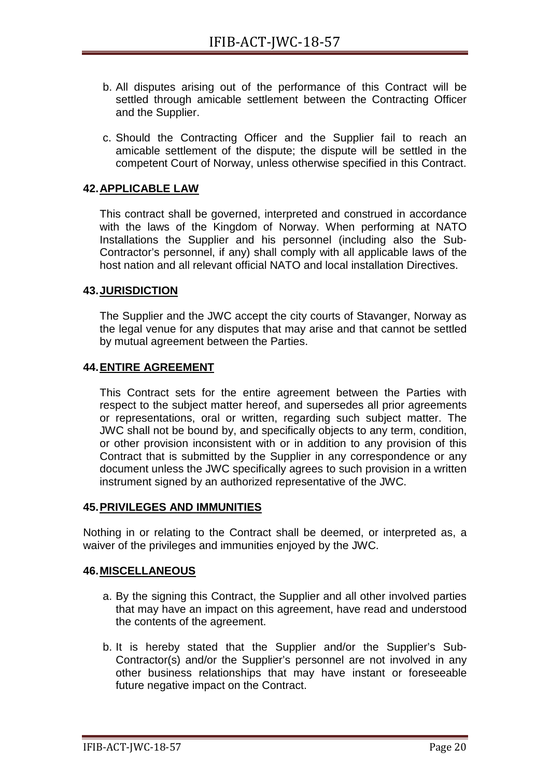- b. All disputes arising out of the performance of this Contract will be settled through amicable settlement between the Contracting Officer and the Supplier.
- c. Should the Contracting Officer and the Supplier fail to reach an amicable settlement of the dispute; the dispute will be settled in the competent Court of Norway, unless otherwise specified in this Contract.

#### <span id="page-35-0"></span>**42.APPLICABLE LAW**

This contract shall be governed, interpreted and construed in accordance with the laws of the Kingdom of Norway. When performing at NATO Installations the Supplier and his personnel (including also the Sub-Contractor's personnel, if any) shall comply with all applicable laws of the host nation and all relevant official NATO and local installation Directives.

#### <span id="page-35-1"></span>**43.JURISDICTION**

The Supplier and the JWC accept the city courts of Stavanger, Norway as the legal venue for any disputes that may arise and that cannot be settled by mutual agreement between the Parties.

#### <span id="page-35-2"></span>**44.ENTIRE AGREEMENT**

This Contract sets for the entire agreement between the Parties with respect to the subject matter hereof, and supersedes all prior agreements or representations, oral or written, regarding such subject matter. The JWC shall not be bound by, and specifically objects to any term, condition, or other provision inconsistent with or in addition to any provision of this Contract that is submitted by the Supplier in any correspondence or any document unless the JWC specifically agrees to such provision in a written instrument signed by an authorized representative of the JWC.

#### <span id="page-35-3"></span>**45.PRIVILEGES AND IMMUNITIES**

Nothing in or relating to the Contract shall be deemed, or interpreted as, a waiver of the privileges and immunities enjoyed by the JWC.

#### <span id="page-35-4"></span>**46.MISCELLANEOUS**

- a. By the signing this Contract, the Supplier and all other involved parties that may have an impact on this agreement, have read and understood the contents of the agreement.
- b. It is hereby stated that the Supplier and/or the Supplier's Sub-Contractor(s) and/or the Supplier's personnel are not involved in any other business relationships that may have instant or foreseeable future negative impact on the Contract.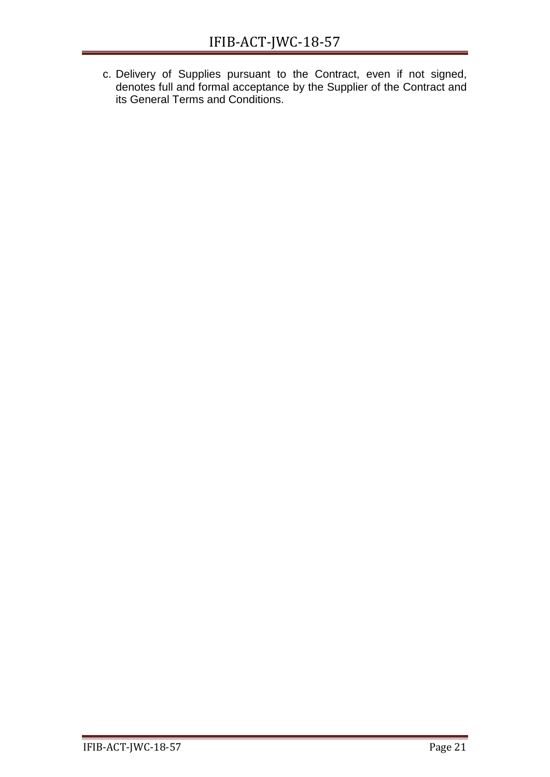c. Delivery of Supplies pursuant to the Contract, even if not signed, denotes full and formal acceptance by the Supplier of the Contract and its General Terms and Conditions.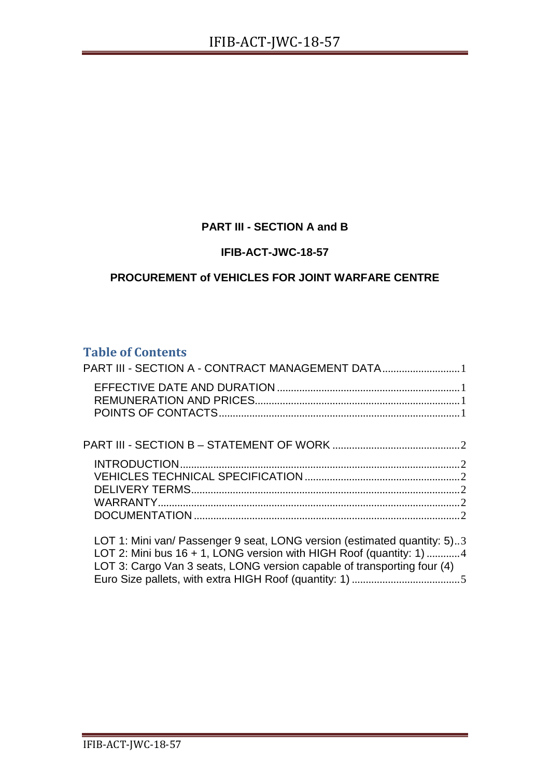#### **PART III - SECTION A and B**

#### **IFIB-ACT-JWC-18-57**

#### **PROCUREMENT of VEHICLES FOR JOINT WARFARE CENTRE**

#### **Table of Contents**

| PART III - SECTION A - CONTRACT MANAGEMENT DATA1                                                                                                                                                                              |  |
|-------------------------------------------------------------------------------------------------------------------------------------------------------------------------------------------------------------------------------|--|
|                                                                                                                                                                                                                               |  |
|                                                                                                                                                                                                                               |  |
|                                                                                                                                                                                                                               |  |
|                                                                                                                                                                                                                               |  |
| LOT 1: Mini van/ Passenger 9 seat, LONG version (estimated quantity: 5)3<br>LOT 2: Mini bus $16 + 1$ , LONG version with HIGH Roof (quantity: 1) 4<br>LOT 3: Cargo Van 3 seats, LONG version capable of transporting four (4) |  |

[Euro Size pallets, with extra HIGH Roof \(quantity: 1\)](#page-42-0) .......................................5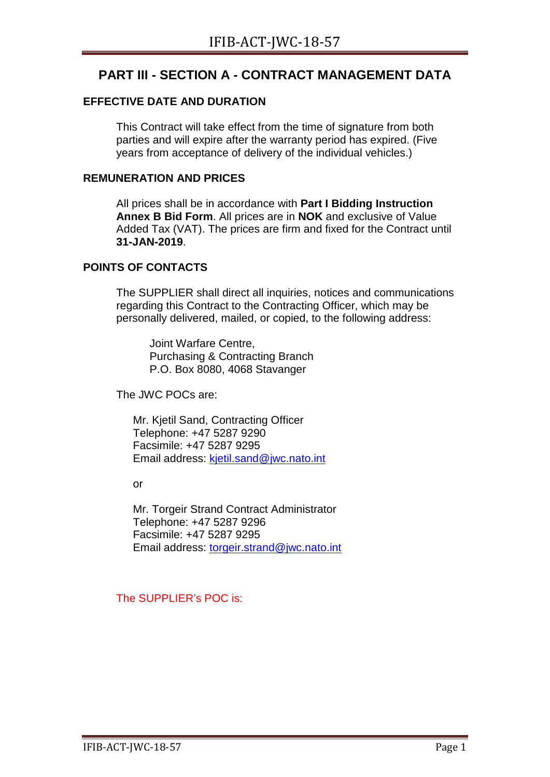#### <span id="page-38-0"></span>**PART III - SECTION A - CONTRACT MANAGEMENT DATA**

#### <span id="page-38-1"></span>**EFFECTIVE DATE AND DURATION**

This Contract will take effect from the time of signature from both parties and will expire after the warranty period has expired. (Five years from acceptance of delivery of the individual vehicles.)

#### <span id="page-38-2"></span>**REMUNERATION AND PRICES**

All prices shall be in accordance with **Part I Bidding Instruction Annex B Bid Form**. All prices are in **NOK** and exclusive of Value Added Tax (VAT). The prices are firm and fixed for the Contract until **31-JAN-2019**.

#### <span id="page-38-3"></span>**POINTS OF CONTACTS**

The SUPPLIER shall direct all inquiries, notices and communications regarding this Contract to the Contracting Officer, which may be personally delivered, mailed, or copied, to the following address:

Joint Warfare Centre, Purchasing & Contracting Branch P.O. Box 8080, 4068 Stavanger

The JWC POCs are:

Mr. Kjetil Sand, Contracting Officer Telephone: +47 5287 9290 Facsimile: +47 5287 9295 Email address: [kjetil.sand@jwc.nato.int](mailto:kjetil.sand@jwc.nato.int)

or

Mr. Torgeir Strand Contract Administrator Telephone: +47 5287 9296 Facsimile: +47 5287 9295 Email address: [torgeir.strand@jwc.nato.int](mailto:torgeir.strand@jwc.nato.int)

The SUPPLIER's POC is: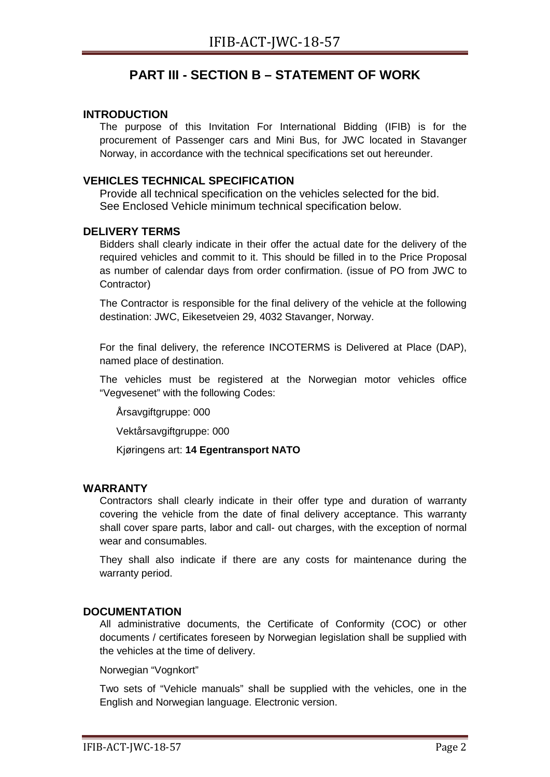#### **PART III - SECTION B – STATEMENT OF WORK**

#### <span id="page-39-1"></span><span id="page-39-0"></span>**INTRODUCTION**

The purpose of this Invitation For International Bidding (IFIB) is for the procurement of Passenger cars and Mini Bus, for JWC located in Stavanger Norway, in accordance with the technical specifications set out hereunder.

#### <span id="page-39-2"></span>**VEHICLES TECHNICAL SPECIFICATION**

Provide all technical specification on the vehicles selected for the bid. See Enclosed Vehicle minimum technical specification below.

#### <span id="page-39-3"></span>**DELIVERY TERMS**

Bidders shall clearly indicate in their offer the actual date for the delivery of the required vehicles and commit to it. This should be filled in to the Price Proposal as number of calendar days from order confirmation. (issue of PO from JWC to Contractor)

The Contractor is responsible for the final delivery of the vehicle at the following destination: JWC, Eikesetveien 29, 4032 Stavanger, Norway.

For the final delivery, the reference INCOTERMS is Delivered at Place (DAP), named place of destination.

The vehicles must be registered at the Norwegian motor vehicles office "Vegvesenet" with the following Codes:

Årsavgiftgruppe: 000

Vektårsavgiftgruppe: 000

Kjøringens art: **14 Egentransport NATO**

#### <span id="page-39-4"></span>**WARRANTY**

Contractors shall clearly indicate in their offer type and duration of warranty covering the vehicle from the date of final delivery acceptance. This warranty shall cover spare parts, labor and call- out charges, with the exception of normal wear and consumables.

They shall also indicate if there are any costs for maintenance during the warranty period.

#### <span id="page-39-5"></span>**DOCUMENTATION**

All administrative documents, the Certificate of Conformity (COC) or other documents / certificates foreseen by Norwegian legislation shall be supplied with the vehicles at the time of delivery.

Norwegian "Vognkort"

Two sets of "Vehicle manuals" shall be supplied with the vehicles, one in the English and Norwegian language. Electronic version.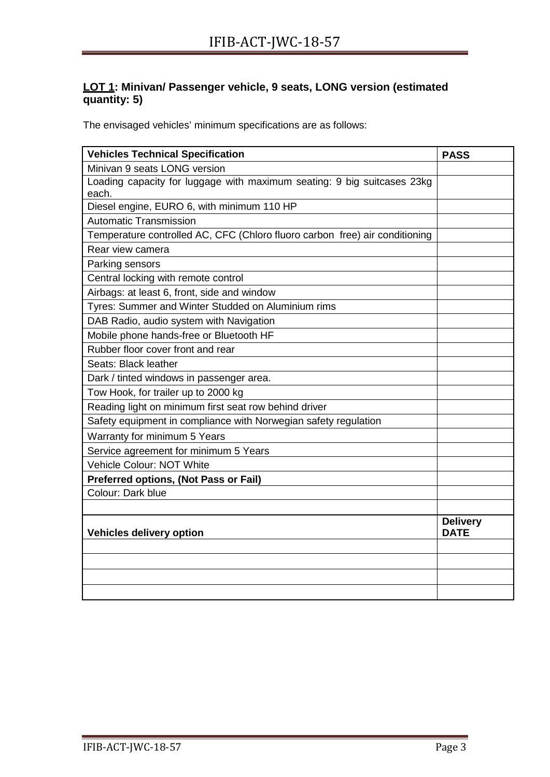#### <span id="page-40-0"></span>**LOT 1: Minivan/ Passenger vehicle, 9 seats, LONG version (estimated quantity: 5)**

The envisaged vehicles' minimum specifications are as follows:

| <b>Vehicles Technical Specification</b>                                     | <b>PASS</b>                    |
|-----------------------------------------------------------------------------|--------------------------------|
| Minivan 9 seats LONG version                                                |                                |
| Loading capacity for luggage with maximum seating: 9 big suitcases 23kg     |                                |
| each.                                                                       |                                |
| Diesel engine, EURO 6, with minimum 110 HP                                  |                                |
| <b>Automatic Transmission</b>                                               |                                |
| Temperature controlled AC, CFC (Chloro fluoro carbon free) air conditioning |                                |
| Rear view camera                                                            |                                |
| Parking sensors                                                             |                                |
| Central locking with remote control                                         |                                |
| Airbags: at least 6, front, side and window                                 |                                |
| Tyres: Summer and Winter Studded on Aluminium rims                          |                                |
| DAB Radio, audio system with Navigation                                     |                                |
| Mobile phone hands-free or Bluetooth HF                                     |                                |
| Rubber floor cover front and rear                                           |                                |
| Seats: Black leather                                                        |                                |
| Dark / tinted windows in passenger area.                                    |                                |
| Tow Hook, for trailer up to 2000 kg                                         |                                |
| Reading light on minimum first seat row behind driver                       |                                |
| Safety equipment in compliance with Norwegian safety regulation             |                                |
| Warranty for minimum 5 Years                                                |                                |
| Service agreement for minimum 5 Years                                       |                                |
| Vehicle Colour: NOT White                                                   |                                |
| <b>Preferred options, (Not Pass or Fail)</b>                                |                                |
| Colour: Dark blue                                                           |                                |
|                                                                             |                                |
| <b>Vehicles delivery option</b>                                             | <b>Delivery</b><br><b>DATE</b> |
|                                                                             |                                |
|                                                                             |                                |
|                                                                             |                                |
|                                                                             |                                |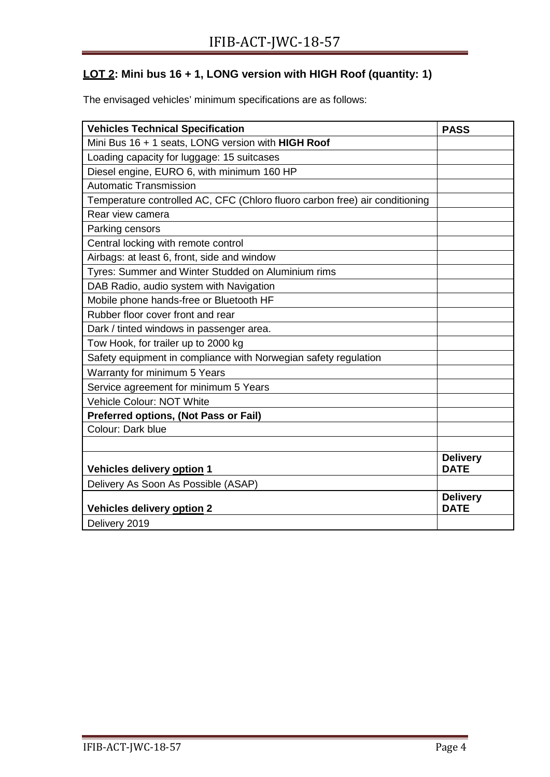#### <span id="page-41-0"></span>**LOT 2: Mini bus 16 + 1, LONG version with HIGH Roof (quantity: 1)**

The envisaged vehicles' minimum specifications are as follows:

| <b>Vehicles Technical Specification</b>                                     | <b>PASS</b>                    |
|-----------------------------------------------------------------------------|--------------------------------|
| Mini Bus 16 + 1 seats, LONG version with HIGH Roof                          |                                |
| Loading capacity for luggage: 15 suitcases                                  |                                |
| Diesel engine, EURO 6, with minimum 160 HP                                  |                                |
| <b>Automatic Transmission</b>                                               |                                |
| Temperature controlled AC, CFC (Chloro fluoro carbon free) air conditioning |                                |
| Rear view camera                                                            |                                |
| Parking censors                                                             |                                |
| Central locking with remote control                                         |                                |
| Airbags: at least 6, front, side and window                                 |                                |
| Tyres: Summer and Winter Studded on Aluminium rims                          |                                |
| DAB Radio, audio system with Navigation                                     |                                |
| Mobile phone hands-free or Bluetooth HF                                     |                                |
| Rubber floor cover front and rear                                           |                                |
| Dark / tinted windows in passenger area.                                    |                                |
| Tow Hook, for trailer up to 2000 kg                                         |                                |
| Safety equipment in compliance with Norwegian safety regulation             |                                |
| Warranty for minimum 5 Years                                                |                                |
| Service agreement for minimum 5 Years                                       |                                |
| Vehicle Colour: NOT White                                                   |                                |
| <b>Preferred options, (Not Pass or Fail)</b>                                |                                |
| Colour: Dark blue                                                           |                                |
|                                                                             |                                |
| Vehicles delivery option 1                                                  | <b>Delivery</b><br><b>DATE</b> |
| Delivery As Soon As Possible (ASAP)                                         |                                |
| <b>Vehicles delivery option 2</b>                                           | <b>Delivery</b><br><b>DATE</b> |
| Delivery 2019                                                               |                                |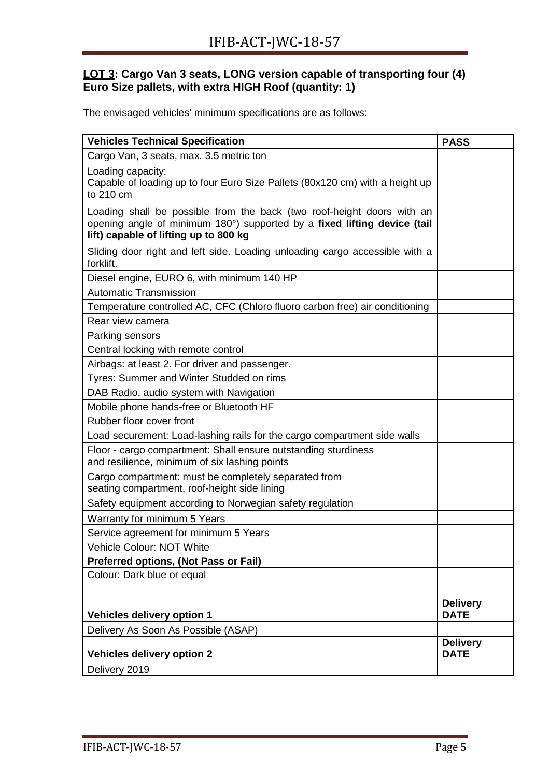#### <span id="page-42-0"></span>**LOT 3: Cargo Van 3 seats, LONG version capable of transporting four (4) Euro Size pallets, with extra HIGH Roof (quantity: 1)**

The envisaged vehicles' minimum specifications are as follows:

| <b>Vehicles Technical Specification</b>                                                                                                                                                     | <b>PASS</b>                    |
|---------------------------------------------------------------------------------------------------------------------------------------------------------------------------------------------|--------------------------------|
| Cargo Van, 3 seats, max. 3.5 metric ton                                                                                                                                                     |                                |
| Loading capacity:<br>Capable of loading up to four Euro Size Pallets (80x120 cm) with a height up<br>to 210 cm                                                                              |                                |
| Loading shall be possible from the back (two roof-height doors with an<br>opening angle of minimum 180°) supported by a fixed lifting device (tail<br>lift) capable of lifting up to 800 kg |                                |
| Sliding door right and left side. Loading unloading cargo accessible with a<br>forklift.                                                                                                    |                                |
| Diesel engine, EURO 6, with minimum 140 HP                                                                                                                                                  |                                |
| <b>Automatic Transmission</b>                                                                                                                                                               |                                |
| Temperature controlled AC, CFC (Chloro fluoro carbon free) air conditioning                                                                                                                 |                                |
| Rear view camera                                                                                                                                                                            |                                |
| Parking sensors                                                                                                                                                                             |                                |
| Central locking with remote control                                                                                                                                                         |                                |
| Airbags: at least 2. For driver and passenger.                                                                                                                                              |                                |
| Tyres: Summer and Winter Studded on rims                                                                                                                                                    |                                |
| DAB Radio, audio system with Navigation                                                                                                                                                     |                                |
| Mobile phone hands-free or Bluetooth HF                                                                                                                                                     |                                |
| Rubber floor cover front                                                                                                                                                                    |                                |
| Load securement: Load-lashing rails for the cargo compartment side walls                                                                                                                    |                                |
| Floor - cargo compartment: Shall ensure outstanding sturdiness<br>and resilience, minimum of six lashing points                                                                             |                                |
| Cargo compartment: must be completely separated from<br>seating compartment, roof-height side lining                                                                                        |                                |
| Safety equipment according to Norwegian safety regulation                                                                                                                                   |                                |
| Warranty for minimum 5 Years                                                                                                                                                                |                                |
| Service agreement for minimum 5 Years                                                                                                                                                       |                                |
| Vehicle Colour: NOT White                                                                                                                                                                   |                                |
| Preferred options, (Not Pass or Fail)                                                                                                                                                       |                                |
| Colour: Dark blue or equal                                                                                                                                                                  |                                |
|                                                                                                                                                                                             |                                |
| <b>Vehicles delivery option 1</b>                                                                                                                                                           | <b>Delivery</b><br><b>DATE</b> |
| Delivery As Soon As Possible (ASAP)                                                                                                                                                         |                                |
| <b>Vehicles delivery option 2</b>                                                                                                                                                           | <b>Delivery</b><br><b>DATE</b> |
| Delivery 2019                                                                                                                                                                               |                                |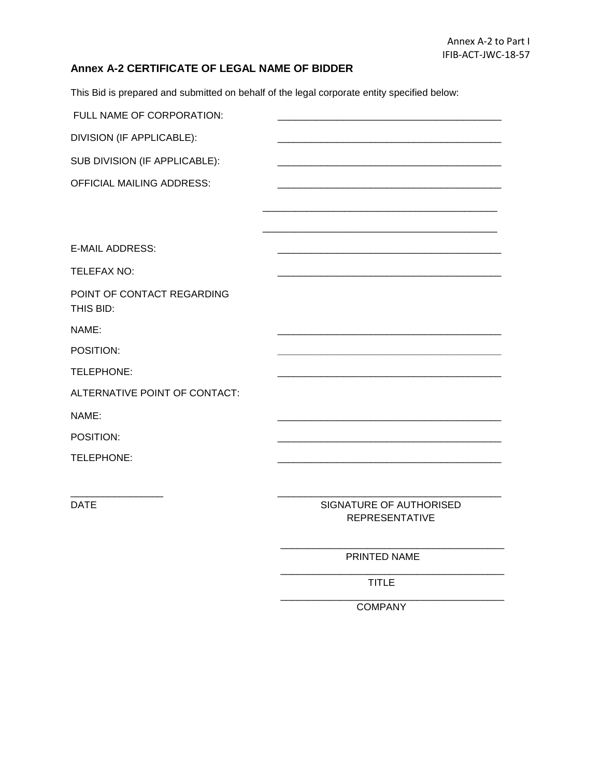#### **Annex A-2 CERTIFICATE OF LEGAL NAME OF BIDDER**

This Bid is prepared and submitted on behalf of the legal corporate entity specified below:

| FULL NAME OF CORPORATION:               |  |
|-----------------------------------------|--|
| DIVISION (IF APPLICABLE):               |  |
| SUB DIVISION (IF APPLICABLE):           |  |
| OFFICIAL MAILING ADDRESS:               |  |
|                                         |  |
|                                         |  |
| <b>E-MAIL ADDRESS:</b>                  |  |
| TELEFAX NO:                             |  |
| POINT OF CONTACT REGARDING<br>THIS BID: |  |
| NAME:                                   |  |
| POSITION:                               |  |
| TELEPHONE:                              |  |
| ALTERNATIVE POINT OF CONTACT:           |  |
| NAME:                                   |  |
| POSITION:                               |  |
| TELEPHONE:                              |  |
|                                         |  |

\_\_\_\_\_\_\_\_\_\_\_\_\_\_\_\_\_ \_\_\_\_\_\_\_\_\_\_\_\_\_\_\_\_\_\_\_\_\_\_\_\_\_\_\_\_\_\_\_\_\_\_\_\_\_\_\_\_\_

DATE SIGNATURE OF AUTHORISED REPRESENTATIVE

\_\_\_\_\_\_\_\_\_\_\_\_\_\_\_\_\_\_\_\_\_\_\_\_\_\_\_\_\_\_\_\_\_\_\_\_\_\_\_\_\_

\_\_\_\_\_\_\_\_\_\_\_\_\_\_\_\_\_\_\_\_\_\_\_\_\_\_\_\_\_\_\_\_\_\_\_\_\_\_\_\_\_

PRINTED NAME

TITLE

\_\_\_\_\_\_\_\_\_\_\_\_\_\_\_\_\_\_\_\_\_\_\_\_\_\_\_\_\_\_\_\_\_\_\_\_\_\_\_\_\_ COMPANY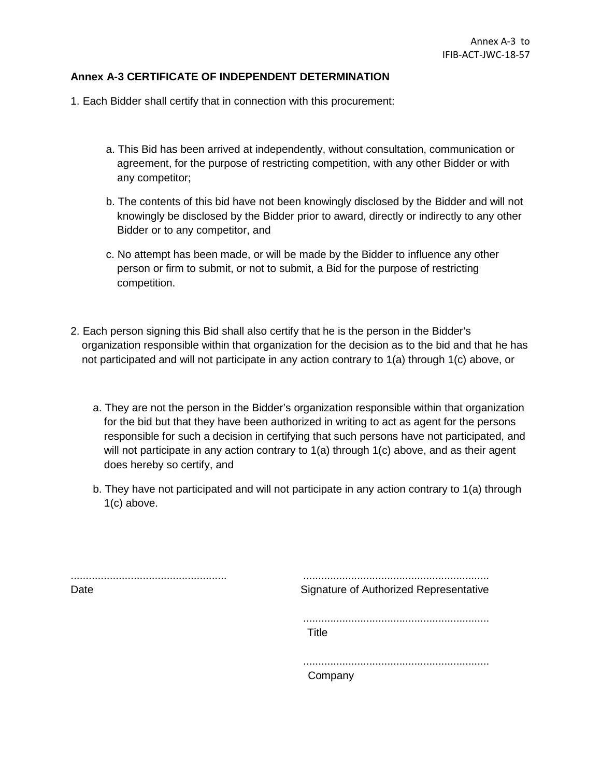#### **Annex A-3 CERTIFICATE OF INDEPENDENT DETERMINATION**

- 1. Each Bidder shall certify that in connection with this procurement:
	- a. This Bid has been arrived at independently, without consultation, communication or agreement, for the purpose of restricting competition, with any other Bidder or with any competitor;
	- b. The contents of this bid have not been knowingly disclosed by the Bidder and will not knowingly be disclosed by the Bidder prior to award, directly or indirectly to any other Bidder or to any competitor, and
	- c. No attempt has been made, or will be made by the Bidder to influence any other person or firm to submit, or not to submit, a Bid for the purpose of restricting competition.
- 2. Each person signing this Bid shall also certify that he is the person in the Bidder's organization responsible within that organization for the decision as to the bid and that he has not participated and will not participate in any action contrary to 1(a) through 1(c) above, or
	- a. They are not the person in the Bidder's organization responsible within that organization for the bid but that they have been authorized in writing to act as agent for the persons responsible for such a decision in certifying that such persons have not participated, and will not participate in any action contrary to 1(a) through 1(c) above, and as their agent does hereby so certify, and
	- b. They have not participated and will not participate in any action contrary to 1(a) through 1(c) above.

| Date | .<br>Signature of Authorized Representative |
|------|---------------------------------------------|
|      | Title                                       |
|      | Company                                     |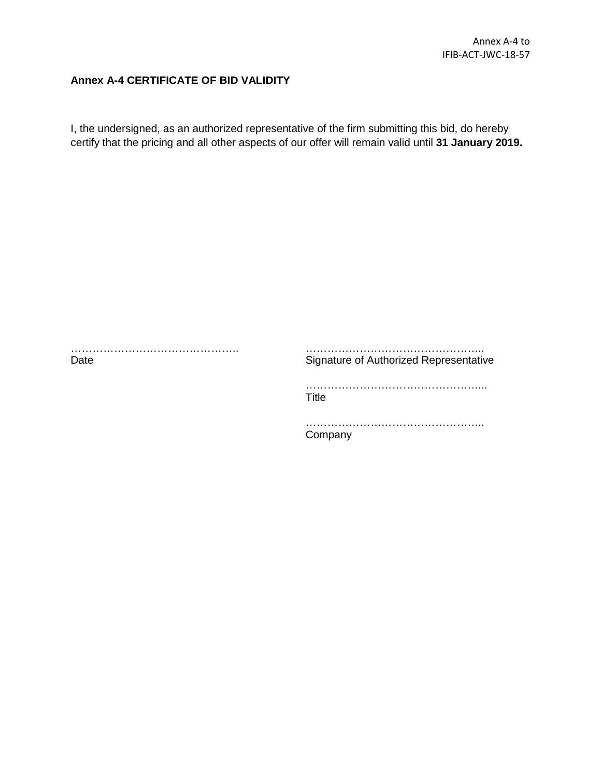#### **Annex A-4 CERTIFICATE OF BID VALIDITY**

I, the undersigned, as an authorized representative of the firm submitting this bid, do hereby certify that the pricing and all other aspects of our offer will remain valid until **31 January 2019.**

………………………………………..

Date

Signature of Authorized Representative

…………………………………………..

…………………………………………... **Title** 

………………………………………….. **Company**